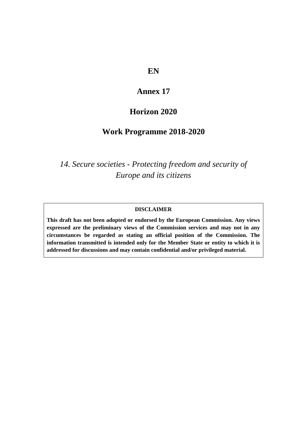## **EN**

# **Annex 17**

# **Horizon 2020**

## **Work Programme 2018-2020**

*14. Secure societies - Protecting freedom and security of Europe and its citizens*

#### **DISCLAIMER**

**This draft has not been adopted or endorsed by the European Commission. Any views expressed are the preliminary views of the Commission services and may not in any circumstances be regarded as stating an official position of the Commission. The information transmitted is intended only for the Member State or entity to which it is addressed for discussions and may contain confidential and/or privileged material.**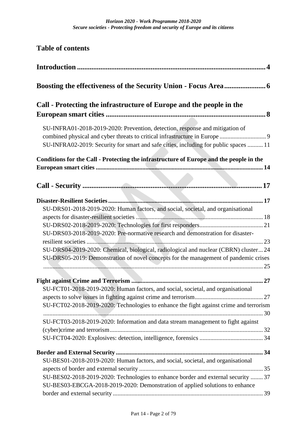| <b>Table of contents</b>                                                                                                                                                                                                                                                                                                                            |
|-----------------------------------------------------------------------------------------------------------------------------------------------------------------------------------------------------------------------------------------------------------------------------------------------------------------------------------------------------|
|                                                                                                                                                                                                                                                                                                                                                     |
|                                                                                                                                                                                                                                                                                                                                                     |
| Call - Protecting the infrastructure of Europe and the people in the                                                                                                                                                                                                                                                                                |
| SU-INFRA01-2018-2019-2020: Prevention, detection, response and mitigation of<br>SU-INFRA02-2019: Security for smart and safe cities, including for public spaces  11                                                                                                                                                                                |
| Conditions for the Call - Protecting the infrastructure of Europe and the people in the                                                                                                                                                                                                                                                             |
|                                                                                                                                                                                                                                                                                                                                                     |
| SU-DRS01-2018-2019-2020: Human factors, and social, societal, and organisational<br>SU-DRS03-2018-2019-2020: Pre-normative research and demonstration for disaster-<br>SU-DRS04-2019-2020: Chemical, biological, radiological and nuclear (CBRN) cluster 24<br>SU-DRS05-2019: Demonstration of novel concepts for the management of pandemic crises |
| SU-FCT01-2018-2019-2020: Human factors, and social, societal, and organisational<br>SU-FCT02-2018-2019-2020: Technologies to enhance the fight against crime and terrorism                                                                                                                                                                          |
| SU-FCT03-2018-2019-2020: Information and data stream management to fight against                                                                                                                                                                                                                                                                    |
| SU-BES01-2018-2019-2020: Human factors, and social, societal, and organisational<br>SU-BES02-2018-2019-2020: Technologies to enhance border and external security  37<br>SU-BES03-EBCGA-2018-2019-2020: Demonstration of applied solutions to enhance                                                                                               |
|                                                                                                                                                                                                                                                                                                                                                     |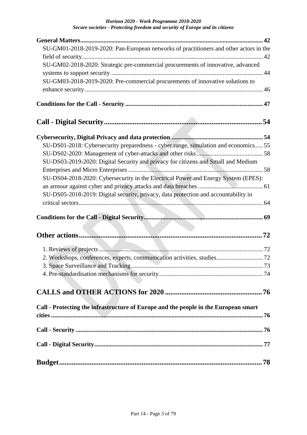#### *Horizon 2020 - Work Programme 2018-2020 Secure societies - Protecting freedom and security of Europe and its citizens*

| SU-GM01-2018-2019-2020: Pan-European networks of practitioners and other actors in the |
|----------------------------------------------------------------------------------------|
|                                                                                        |
| SU-GM02-2018-2020: Strategic pre-commercial procurements of innovative, advanced       |
|                                                                                        |
| SU-GM03-2018-2019-2020: Pre-commercial procurements of innovative solutions to         |
|                                                                                        |
|                                                                                        |
|                                                                                        |
|                                                                                        |
| SU-DS01-2018: Cybersecurity preparedness - cyber range, simulation and economics 55    |
|                                                                                        |
| SU-DS03-2019-2020: Digital Security and privacy for citizens and Small and Medium      |
|                                                                                        |
| SU-DS04-2018-2020: Cybersecurity in the Electrical Power and Energy System (EPES):     |
|                                                                                        |
| SU-DS05-2018-2019: Digital security, privacy, data protection and accountability in    |
|                                                                                        |
|                                                                                        |
|                                                                                        |
|                                                                                        |
|                                                                                        |
| 2. Workshops, conferences, experts, communication activities, studies 72               |
|                                                                                        |
|                                                                                        |
|                                                                                        |
|                                                                                        |
| Call - Protecting the infrastructure of Europe and the people in the European smart    |
|                                                                                        |
|                                                                                        |
|                                                                                        |
|                                                                                        |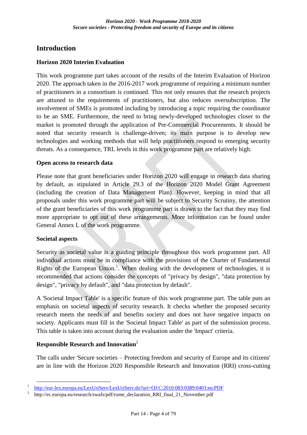## <span id="page-3-0"></span>**Introduction**

### **Horizon 2020 Interim Evaluation**

This work programme part takes account of the results of the Interim Evaluation of Horizon 2020. The approach taken in the 2016-2017 work programme of requiring a minimum number of practitioners in a consortium is continued. This not only ensures that the research projects are attuned to the requirements of practitioners, but also reduces oversubscription. The involvement of SMEs is promoted including by introducing a topic requiring the coordinator to be an SME. Furthermore, the need to bring newly-developed technologies closer to the market is promoted through the application of Pre-Commercial Procurements. It should be noted that security research is challenge-driven; its main purpose is to develop new technologies and working methods that will help practitioners respond to emerging security threats. As a consequence, TRL levels in this work programme part are relatively high.

### **Open access to research data**

Please note that grant beneficiaries under Horizon 2020 will engage in research data sharing by default, as stipulated in Article 29.3 of the Horizon 2020 Model Grant Agreement (including the creation of Data Management Plan). However, keeping in mind that all proposals under this work programme part will be subject to Security Scrutiny, the attention of the grant beneficiaries of this work programme part is drawn to the fact that they may find more appropriate to opt out of these arrangements. More information can be found under General Annex L of the work programme.

### **Societal aspects**

Security as societal value is a guiding principle throughout this work programme part. All individual actions must be in compliance with the provisions of the Charter of Fundamental Rights of the European Union.<sup>1</sup>. When dealing with the development of technologies, it is recommended that actions consider the concepts of "privacy by design", "data protection by design", "privacy by default", and "data protection by default".

A 'Societal Impact Table' is a specific feature of this work programme part. The table puts an emphasis on societal aspects of security research. It checks whether the proposed security research meets the needs of and benefits society and does not have negative impacts on society. Applicants must fill in the 'Societal Impact Table' as part of the submission process. This table is taken into account during the evaluation under the 'Impact' criteria.

### **Responsible Research and Innovation**<sup>2</sup>

The calls under 'Secure societies – Protecting freedom and security of Europe and its citizens' are in line with the Horizon 2020 Responsible Research and Innovation (RRI) cross-cutting

<sup>1</sup>  $\frac{1}{2}$  <http://eur-lex.europa.eu/LexUriServ/LexUriServ.do?uri=OJ:C:2010:083:0389:0403:en:PDF><br> $\frac{1}{2}$  http://ec.europa.eu/research/swafs/pdf/rome\_declaration\_RRL\_final\_21\_November.pdf

http://ec.europa.eu/research/swafs/pdf/rome\_declaration\_RRI\_final\_21\_November.pdf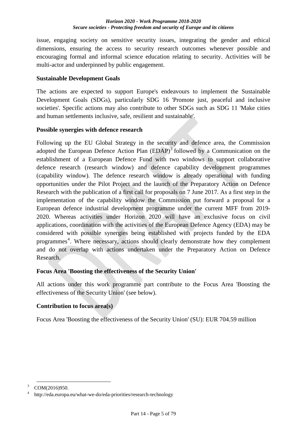issue, engaging society on sensitive security issues, integrating the gender and ethical dimensions, ensuring the access to security research outcomes whenever possible and encouraging formal and informal science education relating to security. Activities will be multi-actor and underpinned by public engagement.

### **Sustainable Development Goals**

The actions are expected to support Europe's endeavours to implement the Sustainable Development Goals (SDGs), particularly SDG 16 'Promote just, peaceful and inclusive societies'. Specific actions may also contribute to other SDGs such as SDG 11 'Make cities and human settlements inclusive, safe, resilient and sustainable'.

### **Possible synergies with defence research**

Following up the EU Global Strategy in the security and defence area, the Commission adopted the European Defence Action Plan  $(EDAP)^3$  followed by a Communication on the establishment of a European Defence Fund with two windows to support collaborative defence research (research window) and defence capability development programmes (capability window). The defence research window is already operational with funding opportunities under the Pilot Project and the launch of the Preparatory Action on Defence Research with the publication of a first call for proposals on 7 June 2017. As a first step in the implementation of the capability window the Commission put forward a proposal for a European defence industrial development programme under the current MFF from 2019- 2020. Whereas activities under Horizon 2020 will have an exclusive focus on civil applications, coordination with the activities of the European Defence Agency (EDA) may be considered with possible synergies being established with projects funded by the EDA programmes 4 . Where necessary, actions should clearly demonstrate how they complement and do not overlap with actions undertaken under the Preparatory Action on Defence Research.

### **Focus Area 'Boosting the effectiveness of the Security Union'**

All actions under this work programme part contribute to the Focus Area 'Boosting the effectiveness of the Security Union' (see below).

### **Contribution to focus area(s)**

Focus Area 'Boosting the effectiveness of the Security Union' (SU): EUR 704.59 million

1

 $3$  COM(2016)950.

<sup>4</sup>http://eda.europa.eu/what-we-do/eda-priorities/research-technology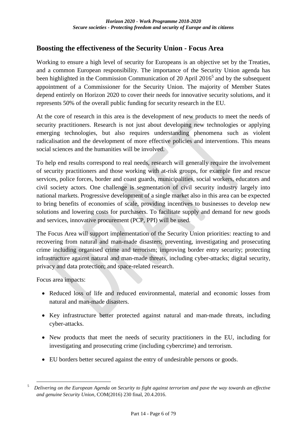## <span id="page-5-0"></span>**Boosting the effectiveness of the Security Union - Focus Area**

Working to ensure a high level of security for Europeans is an objective set by the Treaties, and a common European responsibility. The importance of the Security Union agenda has been highlighted in the Commission Communication of 20 April  $2016<sup>5</sup>$  and by the subsequent appointment of a Commissioner for the Security Union. The majority of Member States depend entirely on Horizon 2020 to cover their needs for innovative security solutions, and it represents 50% of the overall public funding for security research in the EU.

At the core of research in this area is the development of new products to meet the needs of security practitioners. Research is not just about developing new technologies or applying emerging technologies, but also requires understanding phenomena such as violent radicalisation and the development of more effective policies and interventions. This means social sciences and the humanities will be involved.

To help end results correspond to real needs, research will generally require the involvement of security practitioners and those working with at-risk groups, for example fire and rescue services, police forces, border and coast guards, municipalities, social workers, educators and civil society actors. One challenge is segmentation of civil security industry largely into national markets. Progressive development of a single market also in this area can be expected to bring benefits of economies of scale, providing incentives to businesses to develop new solutions and lowering costs for purchasers. To facilitate supply and demand for new goods and services, innovative procurement (PCP, PPI) will be used.

The Focus Area will support implementation of the Security Union priorities: reacting to and recovering from natural and man-made disasters; preventing, investigating and prosecuting crime including organised crime and terrorism; improving border entry security; protecting infrastructure against natural and man-made threats, including cyber-attacks; digital security, privacy and data protection; and space-related research.

Focus area impacts:

1

- Reduced loss of life and reduced environmental, material and economic losses from natural and man-made disasters.
- Key infrastructure better protected against natural and man-made threats, including cyber-attacks.
- New products that meet the needs of security practitioners in the EU, including for investigating and prosecuting crime (including cybercrime) and terrorism.
- EU borders better secured against the entry of undesirable persons or goods.

<sup>5</sup>*Delivering on the European Agenda on Security to fight against terrorism and pave the way towards an effective and genuine Security Union*, COM(2016) 230 final, 20.4.2016.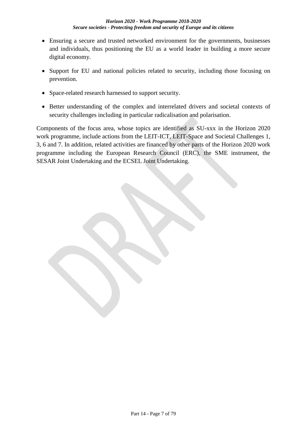- Ensuring a secure and trusted networked environment for the governments, businesses and individuals, thus positioning the EU as a world leader in building a more secure digital economy.
- Support for EU and national policies related to security, including those focusing on prevention.
- Space-related research harnessed to support security.
- Better understanding of the complex and interrelated drivers and societal contexts of security challenges including in particular radicalisation and polarisation.

Components of the focus area, whose topics are identified as SU-xxx in the Horizon 2020 work programme, include actions from the LEIT-ICT, LEIT-Space and Societal Challenges 1, 3, 6 and 7. In addition, related activities are financed by other parts of the Horizon 2020 work programme including the European Research Council (ERC), the SME instrument, the SESAR Joint Undertaking and the ECSEL Joint Undertaking.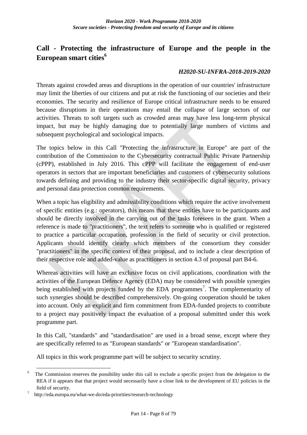## <span id="page-7-0"></span>**Call - Protecting the infrastructure of Europe and the people in the European smart cities<sup>6</sup>**

### *H2020-SU-INFRA-2018-2019-2020*

Threats against crowded areas and disruptions in the operation of our countries' infrastructure may limit the liberties of our citizens and put at risk the functioning of our societies and their economies. The security and resilience of Europe critical infrastructure needs to be ensured because disruptions in their operations may entail the collapse of large sectors of our activities. Threats to soft targets such as crowded areas may have less long-term physical impact, but may be highly damaging due to potentially large numbers of victims and subsequent psychological and sociological impacts.

The topics below in this Call "Protecting the infrastructure in Europe" are part of the contribution of the Commission to the Cybersecurity contractual Public Private Partnership (cPPP), established in July 2016. This cPPP will facilitate the engagement of end-user operators in sectors that are important beneficiaries and customers of cybersecurity solutions towards defining and providing to the industry their sector-specific digital security, privacy and personal data protection common requirements.

When a topic has eligibility and admissibility conditions which require the active involvement of specific entities (e.g.: operators), this means that these entities have to be participants and should be directly involved in the carrying out of the tasks foreseen in the grant. When a reference is made to "practitioners", the text refers to someone who is qualified or registered to practice a particular occupation, profession in the field of security or civil protection. Applicants should identify clearly which members of the consortium they consider "practitioners" in the specific context of their proposal, and to include a clear description of their respective role and added-value as practitioners in section 4.3 of proposal part B4-6.

Whereas activities will have an exclusive focus on civil applications, coordination with the activities of the European Defence Agency (EDA) may be considered with possible synergies being established with projects funded by the EDA programmes<sup>7</sup>. The complementarity of such synergies should be described comprehensively. On-going cooperation should be taken into account. Only an explicit and firm commitment from EDA-funded projects to contribute to a project may positively impact the evaluation of a proposal submitted under this work programme part.

In this Call, "standards" and "standardisation" are used in a broad sense, except where they are specifically referred to as "European standards" or "European standardisation".

All topics in this work programme part will be subject to security scrutiny.

<sup>1</sup>  $6$  The Commission reserves the possibility under this call to exclude a specific project from the delegation to the REA if it appears that that project would necessarily have a close link to the development of EU policies in the field of security.

 $\frac{7}{\text{http://eda.europa.eu/what-we-do/eda-priorities/research-technology}}$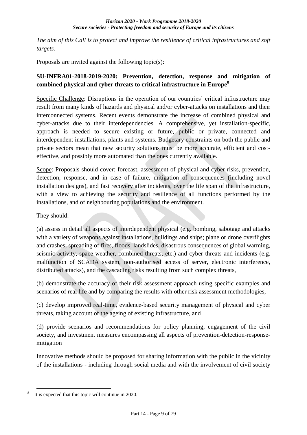*The aim of this Call is to protect and improve the resilience of critical infrastructures and soft targets.*

Proposals are invited against the following topic(s):

## <span id="page-8-0"></span>**SU-INFRA01-2018-2019-2020: Prevention, detection, response and mitigation of combined physical and cyber threats to critical infrastructure in Europe<sup>8</sup>**

Specific Challenge: Disruptions in the operation of our countries' critical infrastructure may result from many kinds of hazards and physical and/or cyber-attacks on installations and their interconnected systems. Recent events demonstrate the increase of combined physical and cyber-attacks due to their interdependencies. A comprehensive, yet installation-specific, approach is needed to secure existing or future, public or private, connected and interdependent installations, plants and systems. Budgetary constraints on both the public and private sectors mean that new security solutions must be more accurate, efficient and costeffective, and possibly more automated than the ones currently available.

Scope: Proposals should cover: forecast, assessment of physical and cyber risks, prevention, detection, response, and in case of failure, mitigation of consequences (including novel installation designs), and fast recovery after incidents, over the life span of the infrastructure, with a view to achieving the security and resilience of all functions performed by the installations, and of neighbouring populations and the environment.

They should:

(a) assess in detail all aspects of interdependent physical (e.g. bombing, sabotage and attacks with a variety of weapons against installations, buildings and ships; plane or drone overflights and crashes; spreading of fires, floods, landslides, disastrous consequences of global warming, seismic activity, space weather, combined threats, etc.) and cyber threats and incidents (e.g. malfunction of SCADA system, non-authorised access of server, electronic interference, distributed attacks), and the cascading risks resulting from such complex threats,

(b) demonstrate the accuracy of their risk assessment approach using specific examples and scenarios of real life and by comparing the results with other risk assessment methodologies,

(c) develop improved real-time, evidence-based security management of physical and cyber threats, taking account of the ageing of existing infrastructure, and

(d) provide scenarios and recommendations for policy planning, engagement of the civil society, and investment measures encompassing all aspects of prevention-detection-responsemitigation

Innovative methods should be proposed for sharing information with the public in the vicinity of the installations - including through social media and with the involvement of civil society

<u>.</u>

It is expected that this topic will continue in 2020.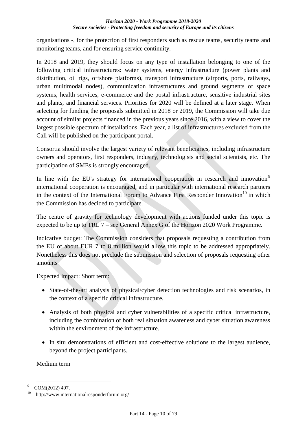organisations -, for the protection of first responders such as rescue teams, security teams and monitoring teams, and for ensuring service continuity.

In 2018 and 2019, they should focus on any type of installation belonging to one of the following critical infrastructures: water systems, energy infrastructure (power plants and distribution, oil rigs, offshore platforms), transport infrastructure (airports, ports, railways, urban multimodal nodes), communication infrastructures and ground segments of space systems, health services, e-commerce and the postal infrastructure, sensitive industrial sites and plants, and financial services. Priorities for 2020 will be defined at a later stage. When selecting for funding the proposals submitted in 2018 or 2019, the Commission will take due account of similar projects financed in the previous years since 2016, with a view to cover the largest possible spectrum of installations. Each year, a list of infrastructures excluded from the Call will be published on the participant portal.

Consortia should involve the largest variety of relevant beneficiaries, including infrastructure owners and operators, first responders, industry, technologists and social scientists, etc. The participation of SMEs is strongly encouraged.

In line with the EU's strategy for international cooperation in research and innovation<sup>9</sup> international cooperation is encouraged, and in particular with international research partners in the context of the International Forum to Advance First Responder Innovation<sup>10</sup> in which the Commission has decided to participate.

The centre of gravity for technology development with actions funded under this topic is expected to be up to TRL 7 – see General Annex G of the Horizon 2020 Work Programme.

Indicative budget: The Commission considers that proposals requesting a contribution from the EU of about EUR 7 to 8 million would allow this topic to be addressed appropriately. Nonetheless this does not preclude the submission and selection of proposals requesting other amounts

### Expected Impact: Short term:

- State-of-the-art analysis of physical/cyber detection technologies and risk scenarios, in the context of a specific critical infrastructure.
- Analysis of both physical and cyber vulnerabilities of a specific critical infrastructure, including the combination of both real situation awareness and cyber situation awareness within the environment of the infrastructure.
- In situ demonstrations of efficient and cost-effective solutions to the largest audience, beyond the project participants.

Medium term

<sup>1</sup>  $9^{\circ}$  COM(2012) 497.

 $10$  http://www.internationalresponderforum.org/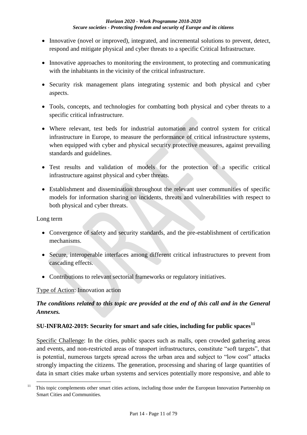- Innovative (novel or improved), integrated, and incremental solutions to prevent, detect, respond and mitigate physical and cyber threats to a specific Critical Infrastructure.
- Innovative approaches to monitoring the environment, to protecting and communicating with the inhabitants in the vicinity of the critical infrastructure.
- Security risk management plans integrating systemic and both physical and cyber aspects.
- Tools, concepts, and technologies for combatting both physical and cyber threats to a specific critical infrastructure.
- Where relevant, test beds for industrial automation and control system for critical infrastructure in Europe, to measure the performance of critical infrastructure systems, when equipped with cyber and physical security protective measures, against prevailing standards and guidelines.
- Test results and validation of models for the protection of a specific critical infrastructure against physical and cyber threats.
- Establishment and dissemination throughout the relevant user communities of specific models for information sharing on incidents, threats and vulnerabilities with respect to both physical and cyber threats.

Long term

- Convergence of safety and security standards, and the pre-establishment of certification mechanisms.
- Secure, interoperable interfaces among different critical infrastructures to prevent from cascading effects.
- Contributions to relevant sectorial frameworks or regulatory initiatives.

### Type of Action: Innovation action

## *The conditions related to this topic are provided at the end of this call and in the General Annexes.*

### <span id="page-10-0"></span>**SU-INFRA02-2019: Security for smart and safe cities, including for public spaces<sup>11</sup>**

Specific Challenge: In the cities, public spaces such as malls, open crowded gathering areas and events, and non-restricted areas of transport infrastructures, constitute "soft targets", that is potential, numerous targets spread across the urban area and subject to "low cost" attacks strongly impacting the citizens. The generation, processing and sharing of large quantities of data in smart cities make urban systems and services potentially more responsive, and able to

<sup>1</sup>  $11$  This topic complements other smart cities actions, including those under the European Innovation Partnership on Smart Cities and Communities.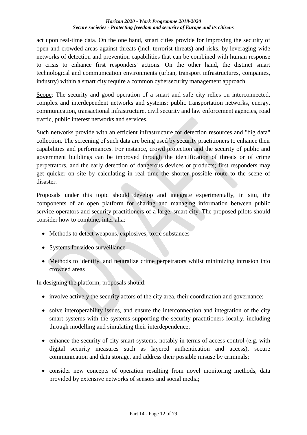#### *Horizon 2020 - Work Programme 2018-2020 Secure societies - Protecting freedom and security of Europe and its citizens*

act upon real-time data. On the one hand, smart cities provide for improving the security of open and crowded areas against threats (incl. terrorist threats) and risks, by leveraging wide networks of detection and prevention capabilities that can be combined with human response to crisis to enhance first responders' actions. On the other hand, the distinct smart technological and communication environments (urban, transport infrastructures, companies, industry) within a smart city require a common cybersecurity management approach.

Scope: The security and good operation of a smart and safe city relies on interconnected, complex and interdependent networks and systems: public transportation networks, energy, communication, transactional infrastructure, civil security and law enforcement agencies, road traffic, public interest networks and services.

Such networks provide with an efficient infrastructure for detection resources and "big data" collection. The screening of such data are being used by security practitioners to enhance their capabilities and performances. For instance, crowd protection and the security of public and government buildings can be improved through the identification of threats or of crime perpetrators, and the early detection of dangerous devices or products; first responders may get quicker on site by calculating in real time the shorter possible route to the scene of disaster.

Proposals under this topic should develop and integrate experimentally, in situ, the components of an open platform for sharing and managing information between public service operators and security practitioners of a large, smart city. The proposed pilots should consider how to combine, inter alia:

- Methods to detect weapons, explosives, toxic substances
- Systems for video surveillance
- Methods to identify, and neutralize crime perpetrators whilst minimizing intrusion into crowded areas

In designing the platform, proposals should:

- involve actively the security actors of the city area, their coordination and governance;
- solve interoperability issues, and ensure the interconnection and integration of the city smart systems with the systems supporting the security practitioners locally, including through modelling and simulating their interdependence;
- $\bullet$  enhance the security of city smart systems, notably in terms of access control (e.g. with digital security measures such as layered authentication and access), secure communication and data storage, and address their possible misuse by criminals;
- consider new concepts of operation resulting from novel monitoring methods, data provided by extensive networks of sensors and social media;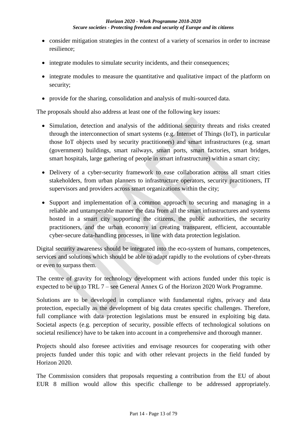- consider mitigation strategies in the context of a variety of scenarios in order to increase resilience;
- integrate modules to simulate security incidents, and their consequences;
- integrate modules to measure the quantitative and qualitative impact of the platform on security;
- provide for the sharing, consolidation and analysis of multi-sourced data.

The proposals should also address at least one of the following key issues:

- Simulation, detection and analysis of the additional security threats and risks created through the interconnection of smart systems (e.g. Internet of Things (IoT), in particular those IoT objects used by security practitioners) and smart infrastructures (e.g. smart (government) buildings, smart railways, smart ports, smart factories, smart bridges, smart hospitals, large gathering of people in smart infrastructure) within a smart city;
- Delivery of a cyber-security framework to ease collaboration across all smart cities stakeholders, from urban planners to infrastructure operators, security practitioners, IT supervisors and providers across smart organizations within the city;
- Support and implementation of a common approach to securing and managing in a reliable and untamperable manner the data from all the smart infrastructures and systems hosted in a smart city supporting the citizens, the public authorities, the security practitioners, and the urban economy in creating transparent, efficient, accountable cyber-secure data-handling processes, in line with data protection legislation.

Digital security awareness should be integrated into the eco-system of humans, competences, services and solutions which should be able to adapt rapidly to the evolutions of cyber-threats or even to surpass them.

The centre of gravity for technology development with actions funded under this topic is expected to be up to TRL 7 – see General Annex G of the Horizon 2020 Work Programme.

Solutions are to be developed in compliance with fundamental rights, privacy and data protection, especially as the development of big data creates specific challenges. Therefore, full compliance with data protection legislations must be ensured in exploiting big data. Societal aspects (e.g. perception of security, possible effects of technological solutions on societal resilience) have to be taken into account in a comprehensive and thorough manner.

Projects should also foresee activities and envisage resources for cooperating with other projects funded under this topic and with other relevant projects in the field funded by Horizon 2020.

The Commission considers that proposals requesting a contribution from the EU of about EUR 8 million would allow this specific challenge to be addressed appropriately.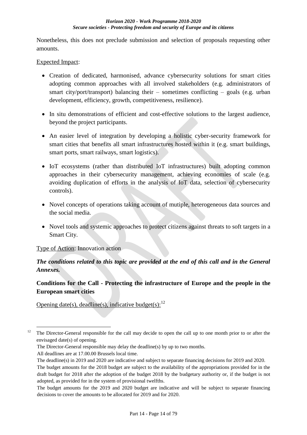Nonetheless, this does not preclude submission and selection of proposals requesting other amounts.

### Expected Impact:

- Creation of dedicated, harmonised, advance cybersecurity solutions for smart cities adopting common approaches with all involved stakeholders (e.g. administrators of smart city/port/transport) balancing their – sometimes conflicting – goals (e.g. urban development, efficiency, growth, competitiveness, resilience).
- In situ demonstrations of efficient and cost-effective solutions to the largest audience, beyond the project participants.
- An easier level of integration by developing a holistic cyber-security framework for smart cities that benefits all smart infrastructures hosted within it (e.g. smart buildings, smart ports, smart railways, smart logistics).
- IoT ecosystems (rather than distributed IoT infrastructures) built adopting common approaches in their cybersecurity management, achieving economies of scale (e.g. avoiding duplication of efforts in the analysis of IoT data, selection of cybersecurity controls).
- Novel concepts of operations taking account of mutiple, heterogeneous data sources and the social media.
- Novel tools and systemic approaches to protect citizens against threats to soft targets in a Smart City.

### Type of Action: Innovation action

## *The conditions related to this topic are provided at the end of this call and in the General Annexes.*

## <span id="page-13-0"></span>**Conditions for the Call - Protecting the infrastructure of Europe and the people in the European smart cities**

Opening date(s), deadline(s), indicative budget(s): $12$ 

1

<sup>&</sup>lt;sup>12</sup> The Director-General responsible for the call may decide to open the call up to one month prior to or after the envisaged date(s) of opening.

The Director-General responsible may delay the deadline(s) by up to two months.

All deadlines are at 17.00.00 Brussels local time.

The deadline(s) in 2019 and 2020 are indicative and subject to separate financing decisions for 2019 and 2020. The budget amounts for the 2018 budget are subject to the availability of the appropriations provided for in the draft budget for 2018 after the adoption of the budget 2018 by the budgetary authority or, if the budget is not adopted, as provided for in the system of provisional twelfths.

The budget amounts for the 2019 and 2020 budget are indicative and will be subject to separate financing decisions to cover the amounts to be allocated for 2019 and for 2020.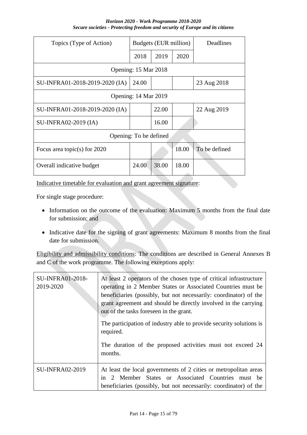*Horizon 2020 - Work Programme 2018-2020 Secure societies - Protecting freedom and security of Europe and its citizens*

| Topics (Type of Action)        | Budgets (EUR million) |       |       | Deadlines     |  |  |  |  |
|--------------------------------|-----------------------|-------|-------|---------------|--|--|--|--|
|                                | 2018                  | 2019  | 2020  |               |  |  |  |  |
| Opening: 15 Mar 2018           |                       |       |       |               |  |  |  |  |
| SU-INFRA01-2018-2019-2020 (IA) | 24.00                 |       |       | 23 Aug 2018   |  |  |  |  |
| Opening: 14 Mar 2019           |                       |       |       |               |  |  |  |  |
| SU-INFRA01-2018-2019-2020 (IA) |                       | 22.00 |       | 22 Aug 2019   |  |  |  |  |
| <b>SU-INFRA02-2019 (IA)</b>    |                       | 16.00 |       |               |  |  |  |  |
| Opening: To be defined         |                       |       |       |               |  |  |  |  |
| Focus area topic(s) for $2020$ |                       |       | 18.00 | To be defined |  |  |  |  |
| Overall indicative budget      | 24.00                 | 38.00 | 18.00 |               |  |  |  |  |

Indicative timetable for evaluation and grant agreement signature:

For single stage procedure:

- Information on the outcome of the evaluation: Maximum 5 months from the final date for submission; and
- Indicative date for the signing of grant agreements: Maximum 8 months from the final date for submission.

Eligibility and admissibility conditions: The conditions are described in General Annexes B and C of the work programme. The following exceptions apply:

| <b>SU-INFRA01-2018-</b><br>2019-2020 | At least 2 operators of the chosen type of critical infrastructure<br>operating in 2 Member States or Associated Countries must be<br>beneficiaries (possibly, but not necessarily: coordinator) of the<br>grant agreement and should be directly involved in the carrying<br>out of the tasks foreseen in the grant.<br>The participation of industry able to provide security solutions is<br>required.<br>The duration of the proposed activities must not exceed 24<br>months. |
|--------------------------------------|------------------------------------------------------------------------------------------------------------------------------------------------------------------------------------------------------------------------------------------------------------------------------------------------------------------------------------------------------------------------------------------------------------------------------------------------------------------------------------|
| <b>SU-INFRA02-2019</b>               | At least the local governments of 2 cities or metropolitan areas<br>2 Member States or Associated Countries must be<br>1n<br>beneficiaries (possibly, but not necessarily: coordinator) of the                                                                                                                                                                                                                                                                                     |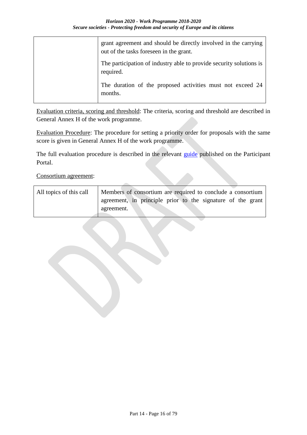| grant agreement and should be directly involved in the carrying<br>out of the tasks foreseen in the grant. |
|------------------------------------------------------------------------------------------------------------|
| The participation of industry able to provide security solutions is<br>required.                           |
| The duration of the proposed activities must not exceed 24<br>months.                                      |

Evaluation criteria, scoring and threshold: The criteria, scoring and threshold are described in General Annex H of the work programme.

Evaluation Procedure: The procedure for setting a priority order for proposals with the same score is given in General Annex H of the work programme.

The full evaluation procedure is described in the relevant [guide](http://ec.europa.eu/research/participants/docs/h2020-funding-guide/grants/applying-for-funding/submit-proposals_en.htm) published on the Participant Portal.

Consortium agreement:

| All topics of this call | Members of consortium are required to conclude a consortium |  |  |  |
|-------------------------|-------------------------------------------------------------|--|--|--|
|                         | agreement, in principle prior to the signature of the grant |  |  |  |
|                         | agreement.                                                  |  |  |  |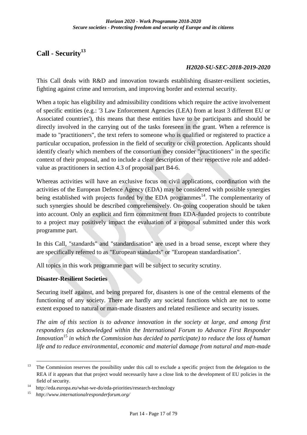# <span id="page-16-0"></span>**Call - Security<sup>13</sup>**

### *H2020-SU-SEC-2018-2019-2020*

This Call deals with R&D and innovation towards establishing disaster-resilient societies, fighting against crime and terrorism, and improving border and external security.

When a topic has eligibility and admissibility conditions which require the active involvement of specific entities (e.g.: '3 Law Enforcement Agencies (LEA) from at least 3 different EU or Associated countries'), this means that these entities have to be participants and should be directly involved in the carrying out of the tasks foreseen in the grant. When a reference is made to "practitioners", the text refers to someone who is qualified or registered to practice a particular occupation, profession in the field of security or civil protection. Applicants should identify clearly which members of the consortium they consider "practitioners" in the specific context of their proposal, and to include a clear description of their respective role and addedvalue as practitioners in section 4.3 of proposal part B4-6.

Whereas activities will have an exclusive focus on civil applications, coordination with the activities of the European Defence Agency (EDA) may be considered with possible synergies being established with projects funded by the EDA programmes $14$ . The complementarity of such synergies should be described comprehensively. On-going cooperation should be taken into account. Only an explicit and firm commitment from EDA-funded projects to contribute to a project may positively impact the evaluation of a proposal submitted under this work programme part.

In this Call, "standards" and "standardisation" are used in a broad sense, except where they are specifically referred to as "European standards" or "European standardisation".

All topics in this work programme part will be subject to security scrutiny.

### <span id="page-16-1"></span>**Disaster-Resilient Societies**

Securing itself against, and being prepared for, disasters is one of the central elements of the functioning of any society. There are hardly any societal functions which are not to some extent exposed to natural or man-made disasters and related resilience and security issues.

*The aim of this section is to advance innovation in the society at large, and among first responders (as acknowledged within the International Forum to Advance First Responder Innovation*<sup>15</sup> *in which the Commission has decided to participate) to reduce the loss of human life and to reduce environmental, economic and material damage from natural and man-made* 

1

<sup>&</sup>lt;sup>13</sup> The Commission reserves the possibility under this call to exclude a specific project from the delegation to the REA if it appears that that project would necessarily have a close link to the development of EU policies in the field of security.

<sup>&</sup>lt;sup>14</sup> http://eda.europa.eu/what-we-do/eda-priorities/research-technology<br><sup>15</sup> http://www.internationalresponderforum.org/

<sup>15</sup>*http://www.internationalresponderforum.org/*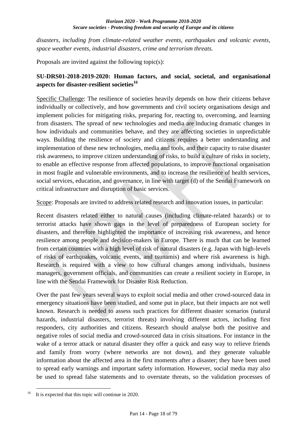#### *Horizon 2020 - Work Programme 2018-2020 Secure societies - Protecting freedom and security of Europe and its citizens*

*disasters, including from climate-related weather events, earthquakes and volcanic events, space weather events, industrial disasters, crime and terrorism threats.*

Proposals are invited against the following topic(s):

### <span id="page-17-0"></span>**SU-DRS01-2018-2019-2020: Human factors, and social, societal, and organisational aspects for disaster-resilient societies<sup>16</sup>**

Specific Challenge: The resilience of societies heavily depends on how their citizens behave individually or collectively, and how governments and civil society organisations design and implement policies for mitigating risks, preparing for, reacting to, overcoming, and learning from disasters. The spread of new technologies and media are inducing dramatic changes in how individuals and communities behave, and they are affecting societies in unpredictable ways. Building the resilience of society and citizens requires a better understanding and implementation of these new technologies, media and tools, and their capacity to raise disaster risk awareness, to improve citizen understanding of risks, to build a culture of risks in society, to enable an effective response from affected populations, to improve functional organisation in most fragile and vulnerable environments, and to increase the resilience of health services, social services, education, and governance, in line with target (d) of the Sendai Framework on critical infrastructure and disruption of basic services.

Scope: Proposals are invited to address related research and innovation issues, in particular:

Recent disasters related either to natural causes (including climate-related hazards) or to terrorist attacks have shown gaps in the level of preparedness of European society for disasters, and therefore highlighted the importance of increasing risk awareness, and hence resilience among people and decision-makers in Europe. There is much that can be learned from certain countries with a high level of risk of natural disasters (e.g. Japan with high-levels of risks of earthquakes, volcanic events, and tsunamis) and where risk awareness is high. Research is required with a view to how cultural changes among individuals, business managers, government officials, and communities can create a resilient society in Europe, in line with the Sendai Framework for Disaster Risk Reduction.

Over the past few years several ways to exploit social media and other crowd-sourced data in emergency situations have been studied, and some put in place, but their impacts are not well known. Research is needed to assess such practices for different disaster scenarios (natural hazards, industrial disasters, terrorist threats) involving different actors, including first responders, city authorities and citizens. Research should analyse both the positive and negative roles of social media and crowd-sourced data in crisis situations. For instance in the wake of a terror attack or natural disaster they offer a quick and easy way to relieve friends and family from worry (where networks are not down), and they generate valuable information about the affected area in the first moments after a disaster; they have been used to spread early warnings and important safety information. However, social media may also be used to spread false statements and to overstate threats, so the validation processes of

<sup>&</sup>lt;u>.</u> It is expected that this topic will continue in 2020.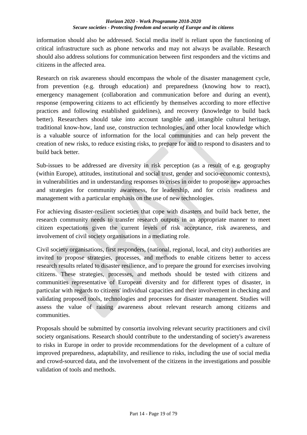#### *Horizon 2020 - Work Programme 2018-2020 Secure societies - Protecting freedom and security of Europe and its citizens*

information should also be addressed. Social media itself is reliant upon the functioning of critical infrastructure such as phone networks and may not always be available. Research should also address solutions for communication between first responders and the victims and citizens in the affected area.

Research on risk awareness should encompass the whole of the disaster management cycle, from prevention (e.g. through education) and preparedness (knowing how to react), emergency management (collaboration and communication before and during an event), response (empowering citizens to act efficiently by themselves according to more effective practices and following established guidelines), and recovery (knowledge to build back better). Researchers should take into account tangible and intangible cultural heritage, traditional know-how, land use, construction technologies, and other local knowledge which is a valuable source of information for the local communities and can help prevent the creation of new risks, to reduce existing risks, to prepare for and to respond to disasters and to build back better.

Sub-issues to be addressed are diversity in risk perception (as a result of e.g. geography (within Europe), attitudes, institutional and social trust, gender and socio-economic contexts), in vulnerabilities and in understanding responses to crises in order to propose new approaches and strategies for community awareness, for leadership, and for crisis readiness and management with a particular emphasis on the use of new technologies.

For achieving disaster-resilient societies that cope with disasters and build back better, the research community needs to transfer research outputs in an appropriate manner to meet citizen expectations given the current levels of risk acceptance, risk awareness, and involvement of civil society organisations in a mediating role.

Civil society organisations, first responders, (national, regional, local, and city) authorities are invited to propose strategies, processes, and methods to enable citizens better to access research results related to disaster resilience, and to prepare the ground for exercises involving citizens. These strategies, processes, and methods should be tested with citizens and communities representative of European diversity and for different types of disaster, in particular with regards to citizens' individual capacities and their involvement in checking and validating proposed tools, technologies and processes for disaster management. Studies will assess the value of raising awareness about relevant research among citizens and communities.

Proposals should be submitted by consortia involving relevant security practitioners and civil society organisations. Research should contribute to the understanding of society's awareness to risks in Europe in order to provide recommendations for the development of a culture of improved preparedness, adaptability, and resilience to risks, including the use of social media and crowd-sourced data, and the involvement of the citizens in the investigations and possible validation of tools and methods.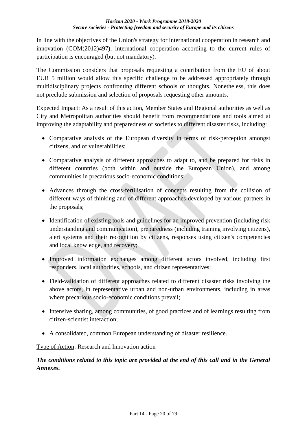In line with the objectives of the Union's strategy for international cooperation in research and innovation (COM(2012)497), international cooperation according to the current rules of participation is encouraged (but not mandatory).

The Commission considers that proposals requesting a contribution from the EU of about EUR 5 million would allow this specific challenge to be addressed appropriately through multidisciplinary projects confronting different schools of thoughts. Nonetheless, this does not preclude submission and selection of proposals requesting other amounts.

Expected Impact: As a result of this action, Member States and Regional authorities as well as City and Metropolitan authorities should benefit from recommendations and tools aimed at improving the adaptability and preparedness of societies to different disaster risks, including:

- Comparative analysis of the European diversity in terms of risk-perception amongst citizens, and of vulnerabilities;
- Comparative analysis of different approaches to adapt to, and be prepared for risks in different countries (both within and outside the European Union), and among communities in precarious socio-economic conditions;
- Advances through the cross-fertilisation of concepts resulting from the collision of different ways of thinking and of different approaches developed by various partners in the proposals;
- Identification of existing tools and guidelines for an improved prevention (including risk understanding and communication), preparedness (including training involving citizens), alert systems and their recognition by citizens, responses using citizen's competencies and local knowledge, and recovery;
- Improved information exchanges among different actors involved, including first responders, local authorities, schools, and citizen representatives;
- Field-validation of different approaches related to different disaster risks involving the above actors, in representative urban and non-urban environments, including in areas where precarious socio-economic conditions prevail;
- Intensive sharing, among communities, of good practices and of learnings resulting from citizen-scientist interaction;
- A consolidated, common European understanding of disaster resilience.

Type of Action: Research and Innovation action

## *The conditions related to this topic are provided at the end of this call and in the General Annexes.*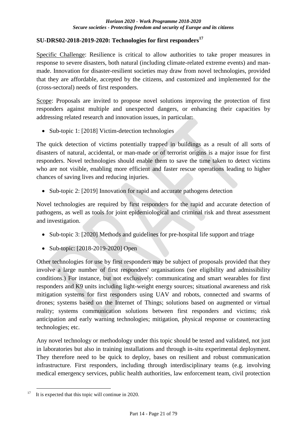## <span id="page-20-0"></span>**SU-DRS02-2018-2019-2020: Technologies for first responders<sup>17</sup>**

Specific Challenge: Resilience is critical to allow authorities to take proper measures in response to severe disasters, both natural (including climate-related extreme events) and manmade. Innovation for disaster-resilient societies may draw from novel technologies, provided that they are affordable, accepted by the citizens, and customized and implemented for the (cross-sectoral) needs of first responders.

Scope: Proposals are invited to propose novel solutions improving the protection of first responders against multiple and unexpected dangers, or enhancing their capacities by addressing related research and innovation issues, in particular:

• Sub-topic 1: [2018] Victim-detection technologies

The quick detection of victims potentially trapped in buildings as a result of all sorts of disasters of natural, accidental, or man-made or of terrorist origins is a major issue for first responders. Novel technologies should enable them to save the time taken to detect victims who are not visible, enabling more efficient and faster rescue operations leading to higher chances of saving lives and reducing injuries.

• Sub-topic 2: [2019] Innovation for rapid and accurate pathogens detection

Novel technologies are required by first responders for the rapid and accurate detection of pathogens, as well as tools for joint epidemiological and criminal risk and threat assessment and investigation.

- Sub-topic 3: [2020] Methods and guidelines for pre-hospital life support and triage
- Sub-topic: [2018-2019-2020] Open

Other technologies for use by first responders may be subject of proposals provided that they involve a large number of first responders' organisations (see eligibility and admissibility conditions.) For instance, but not exclusively: communicating and smart wearables for first responders and K9 units including light-weight energy sources; situational awareness and risk mitigation systems for first responders using UAV and robots, connected and swarms of drones; systems based on the Internet of Things; solutions based on augmented or virtual reality; systems communication solutions between first responders and victims; risk anticipation and early warning technologies; mitigation, physical response or counteracting technologies; etc.

Any novel technology or methodology under this topic should be tested and validated, not just in laboratories but also in training installations and through in-situ experimental deployment. They therefore need to be quick to deploy, bases on resilient and robust communication infrastructure. First responders, including through interdisciplinary teams (e.g. involving medical emergency services, public health authorities, law enforcement team, civil protection

<sup>&</sup>lt;u>.</u> <sup>17</sup> It is expected that this topic will continue in 2020.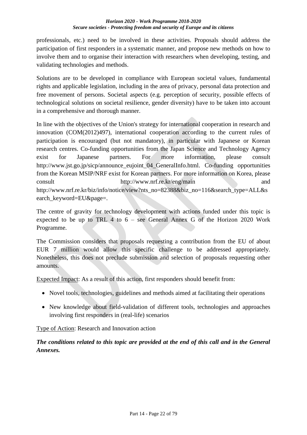professionals, etc.) need to be involved in these activities. Proposals should address the participation of first responders in a systematic manner, and propose new methods on how to involve them and to organise their interaction with researchers when developing, testing, and validating technologies and methods.

Solutions are to be developed in compliance with European societal values, fundamental rights and applicable legislation, including in the area of privacy, personal data protection and free movement of persons. Societal aspects (e.g. perception of security, possible effects of technological solutions on societal resilience, gender diversity) have to be taken into account in a comprehensive and thorough manner.

In line with the objectives of the Union's strategy for international cooperation in research and innovation (COM(2012)497), international cooperation according to the current rules of participation is encouraged (but not mandatory), in particular with Japanese or Korean research centres. Co-funding opportunities from the Japan Science and Technology Agency exist for Japanese partners. For more information, please consult http://www.jst.go.jp/sicp/announce\_eujoint\_04\_GeneralInfo.html. Co-funding opportunities from the Korean MSIP/NRF exist for Korean partners. For more information on Korea, please consult http://www.nrf.re.kr/eng/main and http://www.nrf.re.kr/biz/info/notice/view?nts\_no=82388&biz\_no=116&search\_type=ALL&s earch\_keyword=EU&page=.

The centre of gravity for technology development with actions funded under this topic is expected to be up to TRL 4 to  $6 -$  see General Annex G of the Horizon 2020 Work Programme.

The Commission considers that proposals requesting a contribution from the EU of about EUR 7 million would allow this specific challenge to be addressed appropriately. Nonetheless, this does not preclude submission and selection of proposals requesting other amounts.

Expected Impact: As a result of this action, first responders should benefit from:

- Novel tools, technologies, guidelines and methods aimed at facilitating their operations
- New knowledge about field-validation of different tools, technologies and approaches involving first responders in (real-life) scenarios

Type of Action: Research and Innovation action

*The conditions related to this topic are provided at the end of this call and in the General Annexes.*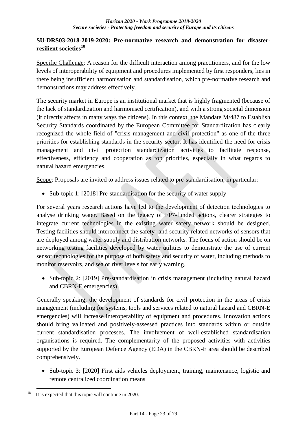### <span id="page-22-0"></span>**SU-DRS03-2018-2019-2020: Pre-normative research and demonstration for disasterresilient societies<sup>18</sup>**

Specific Challenge: A reason for the difficult interaction among practitioners, and for the low levels of interoperability of equipment and procedures implemented by first responders, lies in there being insufficient harmonisation and standardisation, which pre-normative research and demonstrations may address effectively.

The security market in Europe is an institutional market that is highly fragmented (because of the lack of standardization and harmonised certification), and with a strong societal dimension (it directly affects in many ways the citizens). In this context, the Mandate M/487 to Establish Security Standards coordinated by the European Committee for Standardization has clearly recognized the whole field of "crisis management and civil protection" as one of the three priorities for establishing standards in the security sector. It has identified the need for crisis management and civil protection standardization activities to facilitate response, effectiveness, efficiency and cooperation as top priorities, especially in what regards to natural hazard emergencies.

Scope: Proposals are invited to address issues related to pre-standardisation, in particular:

• Sub-topic 1: [2018] Pre-standardisation for the security of water supply

For several years research actions have led to the development of detection technologies to analyse drinking water. Based on the legacy of FP7-funded actions, clearer strategies to integrate current technologies in the existing water safety network should be designed. Testing facilities should interconnect the safety- and security-related networks of sensors that are deployed among water supply and distribution networks. The focus of action should be on networking testing facilities developed by water utilities to demonstrate the use of current sensor technologies for the purpose of both safety and security of water, including methods to monitor reservoirs, and sea or river levels for early warning.

• Sub-topic 2: [2019] Pre-standardisation in crisis management (including natural hazard and CBRN-E emergencies)

Generally speaking, the development of standards for civil protection in the areas of crisis management (including for systems, tools and services related to natural hazard and CBRN-E emergencies) will increase interoperability of equipment and procedures. Innovation actions should bring validated and positively-assessed practices into standards within or outside current standardisation processes. The involvement of well-established standardisation organisations is required. The complementarity of the proposed activities with activities supported by the European Defence Agency (EDA) in the CBRN-E area should be described comprehensively.

• Sub-topic 3: [2020] First aids vehicles deployment, training, maintenance, logistic and remote centralized coordination means

<sup>&</sup>lt;u>.</u> It is expected that this topic will continue in 2020.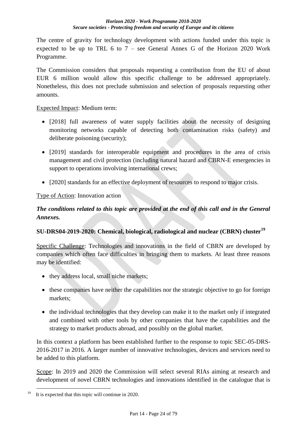The centre of gravity for technology development with actions funded under this topic is expected to be up to TRL 6 to  $7$  – see General Annex G of the Horizon 2020 Work Programme.

The Commission considers that proposals requesting a contribution from the EU of about EUR 6 million would allow this specific challenge to be addressed appropriately. Nonetheless, this does not preclude submission and selection of proposals requesting other amounts.

Expected Impact: Medium term:

- [2018] full awareness of water supply facilities about the necessity of designing monitoring networks capable of detecting both contamination risks (safety) and deliberate poisoning (security);
- [2019] standards for interoperable equipment and procedures in the area of crisis management and civil protection (including natural hazard and CBRN-E emergencies in support to operations involving international crews;
- [2020] standards for an effective deployment of resources to respond to major crisis.

## Type of Action: Innovation action

## *The conditions related to this topic are provided at the end of this call and in the General Annexes.*

## <span id="page-23-0"></span>**SU-DRS04-2019-2020: Chemical, biological, radiological and nuclear (CBRN) cluster<sup>19</sup>**

Specific Challenge: Technologies and innovations in the field of CBRN are developed by companies which often face difficulties in bringing them to markets. At least three reasons may be identified:

- they address local, small niche markets;
- these companies have neither the capabilities nor the strategic objective to go for foreign markets;
- the individual technologies that they develop can make it to the market only if integrated and combined with other tools by other companies that have the capabilities and the strategy to market products abroad, and possibly on the global market.

In this context a platform has been established further to the response to topic SEC-05-DRS-2016-2017 in 2016. A larger number of innovative technologies, devices and services need to be added to this platform.

Scope: In 2019 and 2020 the Commission will select several RIAs aiming at research and development of novel CBRN technologies and innovations identified in the catalogue that is

<sup>&</sup>lt;u>.</u> It is expected that this topic will continue in 2020.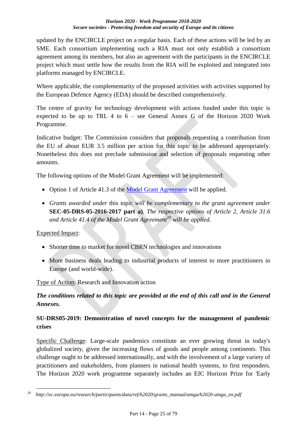updated by the ENCIRCLE project on a regular basis. Each of these actions will be led by an SME. Each consortium implementing such a RIA must not only establish a consortium agreement among its members, but also an agreement with the participants in the ENCIRCLE project which must settle how the results from the RIA will be exploited and integrated into platforms managed by ENCIRCLE.

Where applicable, the complementarity of the proposed activities with activities supported by the European Defence Agency (EDA) should be described comprehensively.

The centre of gravity for technology development with actions funded under this topic is expected to be up to TRL 4 to 6 – see General Annex G of the Horizon 2020 Work Programme.

Indicative budget: The Commission considers that proposals requesting a contribution from the EU of about EUR 3.5 million per action for this topic to be addressed appropriately. Nonetheless this does not preclude submission and selection of proposals requesting other amounts.

The following options of the Model Grant Agreement will be implemented:

- Option 1 of Article 41.3 of the [Model Grant Agreement](http://ec.europa.eu/research/participants/data/ref/h2020/mga/gga/h2020-mga-gga-multi_en.pdf) will be applied.
- *Grants awarded under* this topic *will be complementary to the grant agreement under*  **SEC-05-DRS-05-2016-2017 part a)***. The respective options of Article 2, Article 31.6 and Article 41.4 of the Model Grant Agreement*<sup>20</sup> *will be applied*.

### Expected Impact:

- Shorter time to market for novel CBRN technologies and innovations
- More business deals leading to industrial products of interest to more practitioners in Europe (and world-wide).

Type of Action: Research and Innovation action

## *The conditions related to this topic are provided at the end of this call and in the General Annexes.*

## <span id="page-24-0"></span>**SU-DRS05-2019: Demonstration of novel concepts for the management of pandemic crises**

Specific Challenge: Large-scale pandemics constitute an ever growing threat in today's globalized society, given the increasing flows of goods and people among continents. This challenge ought to be addressed internationally, and with the involvement of a large variety of practitioners and stakeholders, from planners in national health systems, to first responders. The Horizon 2020 work programme separately includes an EIC Horizon Prize for 'Early

<sup>&</sup>lt;u>.</u> <sup>20</sup>*http://ec.europa.eu/research/participants/data/ref/h2020/grants\_manual/amga/h2020-amga\_en.pdf*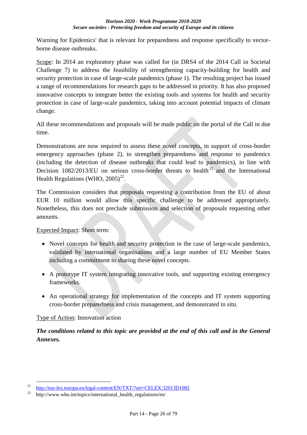Warning for Epidemics' that is relevant for preparedness and response specifically to vectorborne disease outbreaks.

Scope: In 2014 an exploratory phase was called for (in DRS4 of the 2014 Call in Societal Challenge 7) to address the feasibility of strengthening capacity-building for health and security protection in case of large-scale pandemics (phase 1). The resulting project has issued a range of recommendations for research gaps to be addressed in priority. It has also proposed innovative concepts to integrate better the existing tools and systems for health and security protection in case of large-scale pandemics, taking into account potential impacts of climate change.

All these recommendations and proposals will be made public on the portal of the Call in due time.

Demonstrations are now required to assess these novel concepts, in support of cross-border emergency approaches (phase 2), to strengthen preparedness and response to pandemics (including the detection of disease outbreaks that could lead to pandemics), in line with Decision  $1082/2013/EU$  on serious cross-border threats to health<sup>21</sup> and the International Health Regulations (WHO,  $2005)^{22}$ .

The Commission considers that proposals requesting a contribution from the EU of about EUR 10 million would allow this specific challenge to be addressed appropriately. Nonetheless, this does not preclude submission and selection of proposals requesting other amounts.

Expected Impact: Short term:

- Novel concepts for health and security protection in the case of large-scale pandemics, validated by international organisations and a large number of EU Member States including a commitment to sharing these novel concepts.
- A prototype IT system integrating innovative tools, and supporting existing emergency frameworks.
- An operational strategy for implementation of the concepts and IT system supporting cross-border preparedness and crisis management, and demonstrated in situ.

## Type of Action: Innovation action

1

## *The conditions related to this topic are provided at the end of this call and in the General Annexes.*

<sup>&</sup>lt;sup>21</sup> <http://eur-lex.europa.eu/legal-content/EN/TXT/?uri=CELEX:32013D1082><br><sup>22</sup> http://www.who.int/topics/international\_health\_requlations/en/

http://www.who.int/topics/international\_health\_regulations/en/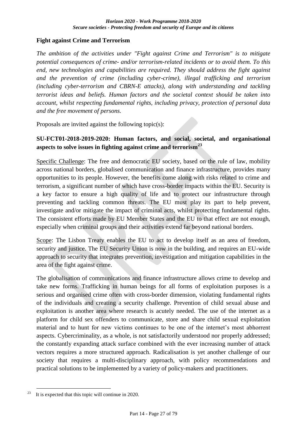### <span id="page-26-0"></span>**Fight against Crime and Terrorism**

*The ambition of the activities under "Fight against Crime and Terrorism" is to mitigate potential consequences of crime- and/or terrorism-related incidents or to avoid them. To this end, new technologies and capabilities are required. They should address the fight against and the prevention of crime (including cyber-crime), illegal trafficking and terrorism (including cyber-terrorism and CBRN-E attacks), along with understanding and tackling terrorist ideas and beliefs. Human factors and the societal context should be taken into account, whilst respecting fundamental rights, including privacy, protection of personal data and the free movement of persons.*

Proposals are invited against the following topic(s):

## <span id="page-26-1"></span>**SU-FCT01-2018-2019-2020: Human factors, and social, societal, and organisational aspects to solve issues in fighting against crime and terrorism<sup>23</sup>**

Specific Challenge: The free and democratic EU society, based on the rule of law, mobility across national borders, globalised communication and finance infrastructure, provides many opportunities to its people. However, the benefits come along with risks related to crime and terrorism, a significant number of which have cross-border impacts within the EU. Security is a key factor to ensure a high quality of life and to protect our infrastructure through preventing and tackling common threats. The EU must play its part to help prevent, investigate and/or mitigate the impact of criminal acts, whilst protecting fundamental rights. The consistent efforts made by EU Member States and the EU to that effect are not enough, especially when criminal groups and their activities extend far beyond national borders.

Scope: The Lisbon Treaty enables the EU to act to develop itself as an area of freedom, security and justice. The EU Security Union is now in the building, and requires an EU-wide approach to security that integrates prevention, investigation and mitigation capabilities in the area of the fight against crime.

The globalisation of communications and finance infrastructure allows crime to develop and take new forms. Trafficking in human beings for all forms of exploitation purposes is a serious and organised crime often with cross-border dimension, violating fundamental rights of the individuals and creating a security challenge. Prevention of child sexual abuse and exploitation is another area where research is acutely needed. The use of the internet as a platform for child sex offenders to communicate, store and share child sexual exploitation material and to hunt for new victims continues to be one of the internet's most abhorrent aspects. Cybercriminality, as a whole, is not satisfactorily understood nor properly addressed; the constantly expanding attack surface combined with the ever increasing number of attack vectors requires a more structured approach. Radicalisation is yet another challenge of our society that requires a multi-disciplinary approach, with policy recommendations and practical solutions to be implemented by a variety of policy-makers and practitioners.

<sup>&</sup>lt;u>.</u> It is expected that this topic will continue in 2020.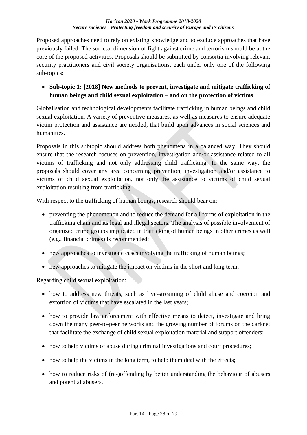#### *Horizon 2020 - Work Programme 2018-2020 Secure societies - Protecting freedom and security of Europe and its citizens*

Proposed approaches need to rely on existing knowledge and to exclude approaches that have previously failed. The societal dimension of fight against crime and terrorism should be at the core of the proposed activities. Proposals should be submitted by consortia involving relevant security practitioners and civil society organisations, each under only one of the following sub-topics:

## **Sub-topic 1: [2018] New methods to prevent, investigate and mitigate trafficking of human beings and child sexual exploitation – and on the protection of victims**

Globalisation and technological developments facilitate trafficking in human beings and child sexual exploitation. A variety of preventive measures, as well as measures to ensure adequate victim protection and assistance are needed, that build upon advances in social sciences and humanities.

Proposals in this subtopic should address both phenomena in a balanced way. They should ensure that the research focuses on prevention, investigation and/or assistance related to all victims of trafficking and not only addressing child trafficking. In the same way, the proposals should cover any area concerning prevention, investigation and/or assistance to victims of child sexual exploitation, not only the assistance to victims of child sexual exploitation resulting from trafficking.

With respect to the trafficking of human beings, research should bear on:

- preventing the phenomenon and to reduce the demand for all forms of exploitation in the trafficking chain and its legal and illegal sectors. The analysis of possible involvement of organized crime groups implicated in trafficking of human beings in other crimes as well (e.g., financial crimes) is recommended;
- new approaches to investigate cases involving the trafficking of human beings;
- new approaches to mitigate the impact on victims in the short and long term.

Regarding child sexual exploitation:

- how to address new threats, such as live-streaming of child abuse and coercion and extortion of victims that have escalated in the last years;
- how to provide law enforcement with effective means to detect, investigate and bring down the many peer-to-peer networks and the growing number of forums on the darknet that facilitate the exchange of child sexual exploitation material and support offenders;
- how to help victims of abuse during criminal investigations and court procedures;
- how to help the victims in the long term, to help them deal with the effects;
- how to reduce risks of (re-)offending by better understanding the behaviour of abusers and potential abusers.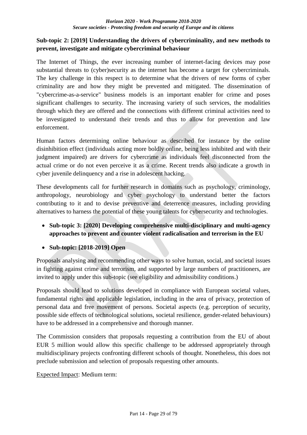## **Sub-topic 2: [2019] Understanding the drivers of cybercriminality, and new methods to prevent, investigate and mitigate cybercriminal behaviour**

The Internet of Things, the ever increasing number of internet-facing devices may pose substantial threats to (cyber)security as the internet has become a target for cybercriminals. The key challenge in this respect is to determine what the drivers of new forms of cyber criminality are and how they might be prevented and mitigated. The dissemination of "cybercrime-as-a-service" business models is an important enabler for crime and poses significant challenges to security. The increasing variety of such services, the modalities through which they are offered and the connections with different criminal activities need to be investigated to understand their trends and thus to allow for prevention and law enforcement.

Human factors determining online behaviour as described for instance by the online disinhibition effect (individuals acting more boldly online, being less inhibited and with their judgment impaired) are drivers for cybercrime as individuals feel disconnected from the actual crime or do not even perceive it as a crime. Recent trends also indicate a growth in cyber juvenile delinquency and a rise in adolescent hacking.

These developments call for further research in domains such as psychology, criminology, anthropology, neurobiology and cyber psychology to understand better the factors contributing to it and to devise preventive and deterrence measures, including providing alternatives to harness the potential of these young talents for cybersecurity and technologies.

- **Sub-topic 3: [2020] Developing comprehensive multi-disciplinary and multi-agency approaches to prevent and counter violent radicalisation and terrorism in the EU**
- **Sub-topic: [2018-2019] Open**

Proposals analysing and recommending other ways to solve human, social, and societal issues in fighting against crime and terrorism, and supported by large numbers of practitioners, are invited to apply under this sub-topic (see eligibility and admissibility conditions.)

Proposals should lead to solutions developed in compliance with European societal values, fundamental rights and applicable legislation, including in the area of privacy, protection of personal data and free movement of persons. Societal aspects (e.g. perception of security, possible side effects of technological solutions, societal resilience, gender-related behaviours) have to be addressed in a comprehensive and thorough manner.

The Commission considers that proposals requesting a contribution from the EU of about EUR 5 million would allow this specific challenge to be addressed appropriately through multidisciplinary projects confronting different schools of thought. Nonetheless, this does not preclude submission and selection of proposals requesting other amounts.

Expected Impact: Medium term: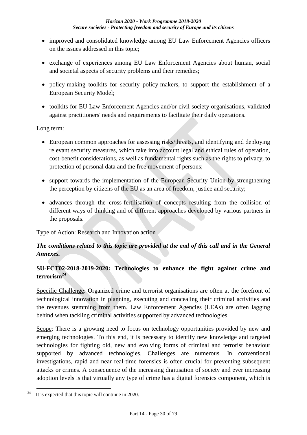- improved and consolidated knowledge among EU Law Enforcement Agencies officers on the issues addressed in this topic;
- exchange of experiences among EU Law Enforcement Agencies about human, social and societal aspects of security problems and their remedies;
- policy-making toolkits for security policy-makers, to support the establishment of a European Security Model;
- toolkits for EU Law Enforcement Agencies and/or civil society organisations, validated against practitioners' needs and requirements to facilitate their daily operations.

Long term:

- European common approaches for assessing risks/threats, and identifying and deploying relevant security measures, which take into account legal and ethical rules of operation, cost-benefit considerations, as well as fundamental rights such as the rights to privacy, to protection of personal data and the free movement of persons;
- support towards the implementation of the European Security Union by strengthening the perception by citizens of the EU as an area of freedom, justice and security;
- advances through the cross-fertilisation of concepts resulting from the collision of different ways of thinking and of different approaches developed by various partners in the proposals.

Type of Action: Research and Innovation action

## *The conditions related to this topic are provided at the end of this call and in the General Annexes.*

## <span id="page-29-0"></span>**SU-FCT02-2018-2019-2020: Technologies to enhance the fight against crime and terrorism<sup>24</sup>**

Specific Challenge: Organized crime and terrorist organisations are often at the forefront of technological innovation in planning, executing and concealing their criminal activities and the revenues stemming from them. Law Enforcement Agencies (LEAs) are often lagging behind when tackling criminal activities supported by advanced technologies.

Scope: There is a growing need to focus on technology opportunities provided by new and emerging technologies. To this end, it is necessary to identify new knowledge and targeted technologies for fighting old, new and evolving forms of criminal and terrorist behaviour supported by advanced technologies. Challenges are numerous. In conventional investigations, rapid and near real-time forensics is often crucial for preventing subsequent attacks or crimes. A consequence of the increasing digitisation of society and ever increasing adoption levels is that virtually any type of crime has a digital forensics component, which is

<sup>&</sup>lt;u>.</u> <sup>24</sup> It is expected that this topic will continue in 2020.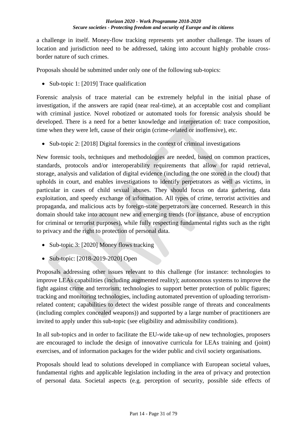a challenge in itself. Money-flow tracking represents yet another challenge. The issues of location and jurisdiction need to be addressed, taking into account highly probable crossborder nature of such crimes.

Proposals should be submitted under only one of the following sub-topics:

• Sub-topic 1: [2019] Trace qualification

Forensic analysis of trace material can be extremely helpful in the initial phase of investigation, if the answers are rapid (near real-time), at an acceptable cost and compliant with criminal justice. Novel robotized or automated tools for forensic analysis should be developed. There is a need for a better knowledge and interpretation of: trace composition, time when they were left, cause of their origin (crime-related or inoffensive), etc.

• Sub-topic 2: [2018] Digital forensics in the context of criminal investigations

New forensic tools, techniques and methodologies are needed, based on common practices, standards, protocols and/or interoperability requirements that allow for rapid retrieval, storage, analysis and validation of digital evidence (including the one stored in the cloud) that upholds in court, and enables investigations to identify perpetrators as well as victims, in particular in cases of child sexual abuses. They should focus on data gathering, data exploitation, and speedy exchange of information. All types of crime, terrorist activities and propaganda, and malicious acts by foreign-state perpetrators are concerned. Research in this domain should take into account new and emerging trends (for instance, abuse of encryption for criminal or terrorist purposes), while fully respecting fundamental rights such as the right to privacy and the right to protection of personal data.

- Sub-topic 3: [2020] Money flows tracking
- Sub-topic: [2018-2019-2020] Open

Proposals addressing other issues relevant to this challenge (for instance: technologies to improve LEAs capabilities (including augmented reality); autonomous systems to improve the fight against crime and terrorism; technologies to support better protection of public figures; tracking and monitoring technologies, including automated prevention of uploading terrorismrelated content; capabilities to detect the widest possible range of threats and concealments (including complex concealed weapons)) and supported by a large number of practitioners are invited to apply under this sub-topic (see eligibility and admissibility conditions).

In all sub-topics and in order to facilitate the EU-wide take-up of new technologies, proposers are encouraged to include the design of innovative curricula for LEAs training and (joint) exercises, and of information packages for the wider public and civil society organisations.

Proposals should lead to solutions developed in compliance with European societal values, fundamental rights and applicable legislation including in the area of privacy and protection of personal data. Societal aspects (e.g. perception of security, possible side effects of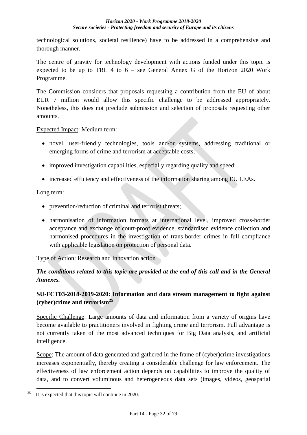technological solutions, societal resilience) have to be addressed in a comprehensive and thorough manner.

The centre of gravity for technology development with actions funded under this topic is expected to be up to TRL 4 to 6 – see General Annex G of the Horizon 2020 Work Programme.

The Commission considers that proposals requesting a contribution from the EU of about EUR 7 million would allow this specific challenge to be addressed appropriately. Nonetheless, this does not preclude submission and selection of proposals requesting other amounts.

Expected Impact: Medium term:

- novel, user-friendly technologies, tools and/or systems, addressing traditional or emerging forms of crime and terrorism at acceptable costs;
- improved investigation capabilities, especially regarding quality and speed;
- increased efficiency and effectiveness of the information sharing among EU LEAs.

Long term:

- prevention/reduction of criminal and terrorist threats;
- harmonisation of information formats at international level, improved cross-border acceptance and exchange of court-proof evidence, standardised evidence collection and harmonised procedures in the investigation of trans-border crimes in full compliance with applicable legislation on protection of personal data.

Type of Action: Research and Innovation action

## *The conditions related to this topic are provided at the end of this call and in the General Annexes.*

## <span id="page-31-0"></span>**SU-FCT03-2018-2019-2020: Information and data stream management to fight against (cyber)crime and terrorism<sup>25</sup>**

Specific Challenge: Large amounts of data and information from a variety of origins have become available to practitioners involved in fighting crime and terrorism. Full advantage is not currently taken of the most advanced techniques for Big Data analysis, and artificial intelligence.

Scope: The amount of data generated and gathered in the frame of (cyber)crime investigations increases exponentially, thereby creating a considerable challenge for law enforcement. The effectiveness of law enforcement action depends on capabilities to improve the quality of data, and to convert voluminous and heterogeneous data sets (images, videos, geospatial

<sup>&</sup>lt;u>.</u> It is expected that this topic will continue in 2020.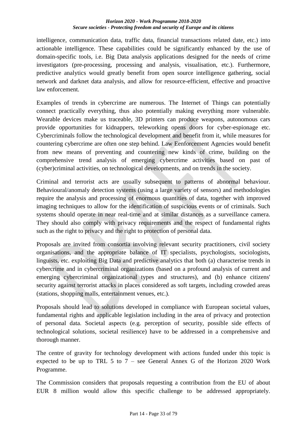#### *Horizon 2020 - Work Programme 2018-2020 Secure societies - Protecting freedom and security of Europe and its citizens*

intelligence, communication data, traffic data, financial transactions related date, etc.) into actionable intelligence. These capabilities could be significantly enhanced by the use of domain-specific tools, i.e. Big Data analysis applications designed for the needs of crime investigators (pre-processing, processing and analysis, visualisation, etc.). Furthermore, predictive analytics would greatly benefit from open source intelligence gathering, social network and darknet data analysis, and allow for resource-efficient, effective and proactive law enforcement.

Examples of trends in cybercrime are numerous. The Internet of Things can potentially connect practically everything, thus also potentially making everything more vulnerable. Wearable devices make us traceable, 3D printers can produce weapons, autonomous cars provide opportunities for kidnappers, teleworking opens doors for cyber-espionage etc. Cybercriminals follow the technological development and benefit from it, while measures for countering cybercrime are often one step behind. Law Eenforcement Agencies would benefit from new means of preventing and countering new kinds of crime, building on the comprehensive trend analysis of emerging cybercrime activities based on past of (cyber)criminal activities, on technological developments, and on trends in the society.

Criminal and terrorist acts are usually subsequent to patterns of abnormal behaviour. Behavioural/anomaly detection systems (using a large variety of sensors) and methodologies require the analysis and processing of enormous quantities of data, together with improved imaging techniques to allow for the identification of suspicious events or of criminals. Such systems should operate in near real-time and at similar distances as a surveillance camera. They should also comply with privacy requirements and the respect of fundamental rights such as the right to privacy and the right to protection of personal data.

Proposals are invited from consortia involving relevant security practitioners, civil society organisations, and the appropriate balance of IT specialists, psychologists, sociologists, linguists, etc. exploiting Big Data and predictive analytics that both (a) characterise trends in cybercrime and in cybercriminal organizations (based on a profound analysis of current and emerging cybercriminal organizational types and structures), and (b) enhance citizens' security against terrorist attacks in places considered as soft targets, including crowded areas (stations, shopping malls, entertainment venues, etc.).

Proposals should lead to solutions developed in compliance with European societal values, fundamental rights and applicable legislation including in the area of privacy and protection of personal data. Societal aspects (e.g. perception of security, possible side effects of technological solutions, societal resilience) have to be addressed in a comprehensive and thorough manner.

The centre of gravity for technology development with actions funded under this topic is expected to be up to TRL 5 to  $7$  – see General Annex G of the Horizon 2020 Work Programme.

The Commission considers that proposals requesting a contribution from the EU of about EUR 8 million would allow this specific challenge to be addressed appropriately.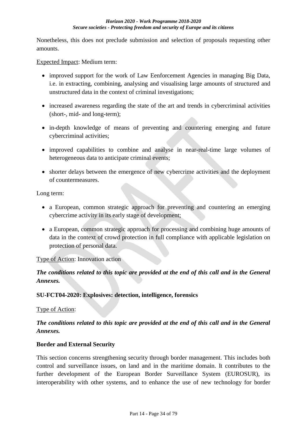Nonetheless, this does not preclude submission and selection of proposals requesting other amounts.

Expected Impact: Medium term:

- improved support for the work of Law Eenforcement Agencies in managing Big Data, i.e. in extracting, combining, analysing and visualising large amounts of structured and unstructured data in the context of criminal investigations;
- increased awareness regarding the state of the art and trends in cybercriminal activities (short-, mid- and long-term);
- in-depth knowledge of means of preventing and countering emerging and future cybercriminal activities;
- improved capabilities to combine and analyse in near-real-time large volumes of heterogeneous data to anticipate criminal events;
- shorter delays between the emergence of new cybercrime activities and the deployment of countermeasures.

Long term:

- a European, common strategic approach for preventing and countering an emerging cybercrime activity in its early stage of development;
- a European, common strategic approach for processing and combining huge amounts of data in the context of crowd protection in full compliance with applicable legislation on protection of personal data.

### Type of Action: Innovation action

## *The conditions related to this topic are provided at the end of this call and in the General Annexes.*

### <span id="page-33-0"></span>**SU-FCT04-2020: Explosives: detection, intelligence, forensics**

Type of Action:

## *The conditions related to this topic are provided at the end of this call and in the General Annexes.*

### <span id="page-33-1"></span>**Border and External Security**

This section concerns strengthening security through border management. This includes both control and surveillance issues, on land and in the maritime domain. It contributes to the further development of the European Border Surveillance System (EUROSUR), its interoperability with other systems, and to enhance the use of new technology for border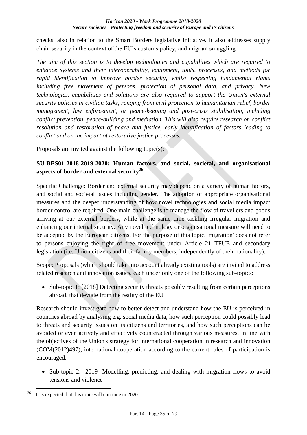checks, also in relation to the Smart Borders legislative initiative. It also addresses supply chain security in the context of the EU's customs policy, and migrant smuggling.

*The aim of this section is to develop technologies and capabilities which are required to enhance systems and their interoperability, equipment, tools, processes, and methods for rapid identification to improve border security, whilst respecting fundamental rights including free movement of persons, protection of personal data, and privacy. New technologies, capabilities and solutions are also required to support the Union's external security policies in civilian tasks, ranging from civil protection to humanitarian relief, border management, law enforcement, or peace-keeping and post-crisis stabilisation, including conflict prevention, peace-building and mediation. This will also require research on conflict resolution and restoration of peace and justice, early identification of factors leading to conflict and on the impact of restorative justice processes.*

Proposals are invited against the following topic(s):

## <span id="page-34-0"></span>**SU-BES01-2018-2019-2020: Human factors, and social, societal, and organisational aspects of border and external security<sup>26</sup>**

Specific Challenge: Border and external security may depend on a variety of human factors, and social and societal issues including gender. The adoption of appropriate organisational measures and the deeper understanding of how novel technologies and social media impact border control are required. One main challenge is to manage the flow of travellers and goods arriving at our external borders, while at the same time tackling irregular migration and enhancing our internal security. Any novel technology or organisational measure will need to be accepted by the European citizens. For the purpose of this topic, 'migration' does not refer to persons enjoying the right of free movement under Article 21 TFUE and secondary legislation (i.e. Union citizens and their family members, independently of their nationality).

Scope: Proposals (which should take into account already existing tools) are invited to address related research and innovation issues, each under only one of the following sub-topics:

• Sub-topic 1: [2018] Detecting security threats possibly resulting from certain perceptions abroad, that deviate from the reality of the EU

Research should investigate how to better detect and understand how the EU is perceived in countries abroad by analysing e.g. social media data, how such perception could possibly lead to threats and security issues on its citizens and territories, and how such perceptions can be avoided or even actively and effectively counteracted through various measures. In line with the objectives of the Union's strategy for international cooperation in research and innovation (COM(2012)497), international cooperation according to the current rules of participation is encouraged.

• Sub-topic 2: [2019] Modelling, predicting, and dealing with migration flows to avoid tensions and violence

<sup>&</sup>lt;u>.</u> It is expected that this topic will continue in 2020.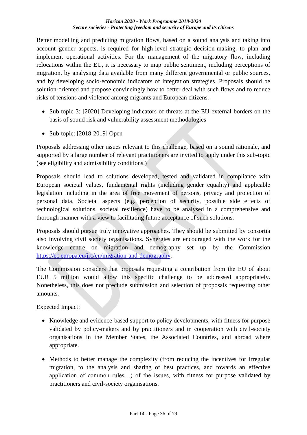Better modelling and predicting migration flows, based on a sound analysis and taking into account gender aspects, is required for high-level strategic decision-making, to plan and implement operational activities. For the management of the migratory flow, including relocations within the EU, it is necessary to map public sentiment, including perceptions of migration, by analysing data available from many different governmental or public sources, and by developing socio-economic indicators of integration strategies. Proposals should be solution-oriented and propose convincingly how to better deal with such flows and to reduce risks of tensions and violence among migrants and European citizens.

- Sub-topic 3: [2020] Developing indicators of threats at the EU external borders on the basis of sound risk and vulnerability assessment methodologies
- $\bullet$  Sub-topic: [2018-2019] Open

Proposals addressing other issues relevant to this challenge, based on a sound rationale, and supported by a large number of relevant practitioners are invited to apply under this sub-topic (see eligibility and admissibility conditions.)

Proposals should lead to solutions developed, tested and validated in compliance with European societal values, fundamental rights (including gender equality) and applicable legislation including in the area of free movement of persons, privacy and protection of personal data. Societal aspects (e.g. perception of security, possible side effects of technological solutions, societal resilience) have to be analysed in a comprehensive and thorough manner with a view to facilitating future acceptance of such solutions.

Proposals should pursue truly innovative approaches. They should be submitted by consortia also involving civil society organisations. Synergies are encouraged with the work for the knowledge centre on migration and demography set up by the Commission [https://ec.europa.eu/jrc/en/migration-and-demography.](http://https/ec.europa.eu/jrc/en/migration-and-demography)

The Commission considers that proposals requesting a contribution from the EU of about EUR 5 million would allow this specific challenge to be addressed appropriately. Nonetheless, this does not preclude submission and selection of proposals requesting other amounts.

Expected Impact:

- Knowledge and evidence-based support to policy developments, with fitness for purpose validated by policy-makers and by practitioners and in cooperation with civil-society organisations in the Member States, the Associated Countries, and abroad where appropriate.
- Methods to better manage the complexity (from reducing the incentives for irregular migration, to the analysis and sharing of best practices, and towards an effective application of common rules…) of the issues, with fitness for purpose validated by practitioners and civil-society organisations.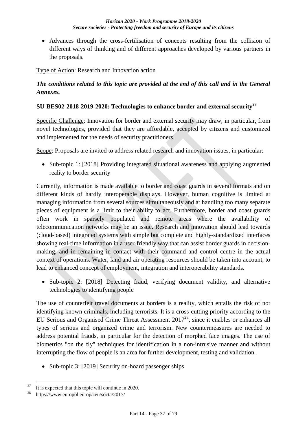Advances through the cross-fertilisation of concepts resulting from the collision of different ways of thinking and of different approaches developed by various partners in the proposals.

Type of Action: Research and Innovation action

### *The conditions related to this topic are provided at the end of this call and in the General Annexes.*

### **SU-BES02-2018-2019-2020: Technologies to enhance border and external security<sup>27</sup>**

Specific Challenge: Innovation for border and external security may draw, in particular, from novel technologies, provided that they are affordable, accepted by citizens and customized and implemented for the needs of security practitioners.

Scope: Proposals are invited to address related research and innovation issues, in particular:

• Sub-topic 1: [2018] Providing integrated situational awareness and applying augmented reality to border security

Currently, information is made available to border and coast guards in several formats and on different kinds of hardly interoperable displays. However, human cognitive is limited at managing information from several sources simultaneously and at handling too many separate pieces of equipment is a limit to their ability to act. Furthermore, border and coast guards often work in sparsely populated and remote areas where the availability of telecommunication networks may be an issue. Research and innovation should lead towards (cloud-based) integrated systems with simple but complete and highly-standardized interfaces showing real-time information in a user-friendly way that can assist border guards in decisionmaking, and in remaining in contact with their command and control centre in the actual context of operations. Water, land and air operating resources should be taken into account, to lead to enhanced concept of employment, integration and interoperability standards.

• Sub-topic 2: [2018] Detecting fraud, verifying document validity, and alternative technologies to identifying people

The use of counterfeit travel documents at borders is a reality, which entails the risk of not identifying known criminals, including terrorists. It is a cross-cutting priority according to the EU Serious and Organised Crime Threat Assessment 2017<sup>28</sup>, since it enables or enhances all types of serious and organized crime and terrorism. New countermeasures are needed to address potential frauds, in particular for the detection of morphed face images. The use of biometrics "on the fly" techniques for identification in a non-intrusive manner and without interrupting the flow of people is an area for further development, testing and validation.

• Sub-topic 3: [2019] Security on-board passenger ships

1

<sup>&</sup>lt;sup>27</sup>It is expected that this topic will continue in 2020.

<sup>28</sup>https://www.europol.europa.eu/socta/2017/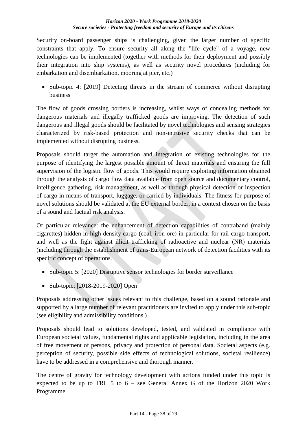Security on-board passenger ships is challenging, given the larger number of specific constraints that apply. To ensure security all along the "life cycle" of a voyage, new technologies can be implemented (together with methods for their deployment and possibly their integration into ship systems), as well as security novel procedures (including for embarkation and disembarkation, mooring at pier, etc.)

• Sub-topic 4: [2019] Detecting threats in the stream of commerce without disrupting business

The flow of goods crossing borders is increasing, whilst ways of concealing methods for dangerous materials and illegally trafficked goods are improving. The detection of such dangerous and illegal goods should be facilitated by novel technologies and sensing strategies characterized by risk-based protection and non-intrusive security checks that can be implemented without disrupting business.

Proposals should target the automation and integration of existing technologies for the purpose of identifying the largest possible amount of threat materials and ensuring the full supervision of the logistic flow of goods. This would require exploiting information obtained through the analysis of cargo flow data available from open source and documentary control, intelligence gathering, risk management, as well as through physical detection or inspection of cargo in means of transport, luggage, or carried by individuals. The fitness for purpose of novel solutions should be validated at the EU external border, in a context chosen on the basis of a sound and factual risk analysis.

Of particular relevance: the enhancement of detection capabilities of contraband (mainly cigarettes) hidden in high density cargo (coal, iron ore) in particular for rail cargo transport, and well as the fight against illicit trafficking of radioactive and nuclear (NR) materials (including through the establishment of trans-European network of detection facilities with its specific concept of operations.

- Sub-topic 5: [2020] Disruptive sensor technologies for border surveillance
- Sub-topic: [2018-2019-2020] Open

Proposals addressing other issues relevant to this challenge, based on a sound rationale and supported by a large number of relevant practitioners are invited to apply under this sub-topic (see eligibility and admissibility conditions.)

Proposals should lead to solutions developed, tested, and validated in compliance with European societal values, fundamental rights and applicable legislation, including in the area of free movement of persons, privacy and protection of personal data. Societal aspects (e.g. perception of security, possible side effects of technological solutions, societal resilience) have to be addressed in a comprehensive and thorough manner.

The centre of gravity for technology development with actions funded under this topic is expected to be up to TRL 5 to 6 – see General Annex G of the Horizon 2020 Work Programme.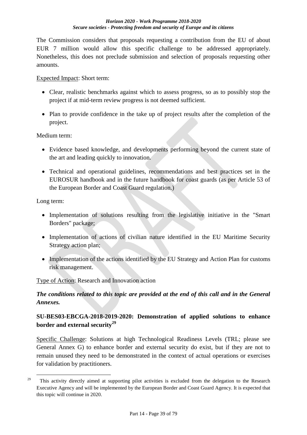The Commission considers that proposals requesting a contribution from the EU of about EUR 7 million would allow this specific challenge to be addressed appropriately. Nonetheless, this does not preclude submission and selection of proposals requesting other amounts.

Expected Impact: Short term:

- Clear, realistic benchmarks against which to assess progress, so as to possibly stop the project if at mid-term review progress is not deemed sufficient.
- Plan to provide confidence in the take up of project results after the completion of the project.

Medium term:

- Evidence based knowledge, and developments performing beyond the current state of the art and leading quickly to innovation.
- Technical and operational guidelines, recommendations and best practices set in the EUROSUR handbook and in the future handbook for coast guards (as per Article 53 of the European Border and Coast Guard regulation.)

Long term:

1

- Implementation of solutions resulting from the legislative initiative in the "Smart" Borders" package;
- Implementation of actions of civilian nature identified in the EU Maritime Security Strategy action plan;
- Implementation of the actions identified by the EU Strategy and Action Plan for customs risk management.

Type of Action: Research and Innovation action

## *The conditions related to this topic are provided at the end of this call and in the General Annexes.*

### **SU-BES03-EBCGA-2018-2019-2020: Demonstration of applied solutions to enhance border and external security<sup>29</sup>**

Specific Challenge: Solutions at high Technological Readiness Levels (TRL; please see General Annex G) to enhance border and external security do exist, but if they are not to remain unused they need to be demonstrated in the context of actual operations or exercises for validation by practitioners.

<sup>&</sup>lt;sup>29</sup> This activity directly aimed at supporting pilot activities is excluded from the delegation to the Research Executive Agency and will be implemented by the European Border and Coast Guard Agency. It is expected that this topic will continue in 2020.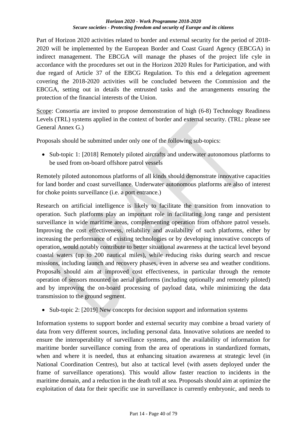Part of Horizon 2020 activities related to border and external security for the period of 2018- 2020 will be implemented by the European Border and Coast Guard Agency (EBCGA) in indirect management. The EBCGA will manage the phases of the project life cyle in accordance with the procedures set out in the Horizon 2020 Rules for Participation, and with due regard of Article 37 of the EBCG Regulation. To this end a delegation agreement covering the 2018-2020 activities will be concluded between the Commission and the EBCGA, setting out in details the entrusted tasks and the arrangements ensuring the protection of the financial interests of the Union.

Scope: Consortia are invited to propose demonstration of high (6-8) Technology Readiness Levels (TRL) systems applied in the context of border and external security. (TRL: please see General Annex G.)

Proposals should be submitted under only one of the following sub-topics:

• Sub-topic 1: [2018] Remotely piloted aircrafts and underwater autonomous platforms to be used from on-board offshore patrol vessels

Remotely piloted autonomous platforms of all kinds should demonstrate innovative capacities for land border and coast surveillance. Underwater autonomous platforms are also of interest for choke points surveillance (i.e. a port entrance.)

Research on artificial intelligence is likely to facilitate the transition from innovation to operation. Such platforms play an important role in facilitating long range and persistent surveillance in wide maritime areas, complementing operation from offshore patrol vessels. Improving the cost effectiveness, reliability and availability of such platforms, either by increasing the performance of existing technologies or by developing innovative concepts of operation, would notably contribute to better situational awareness at the tactical level beyond coastal waters (up to 200 nautical miles), while reducing risks during search and rescue missions, including launch and recovery phases, even in adverse sea and weather conditions. Proposals should aim at improved cost effectiveness, in particular through the remote operation of sensors mounted on aerial platforms (including optionally and remotely piloted) and by improving the on-board processing of payload data, while minimizing the data transmission to the ground segment.

• Sub-topic 2: [2019] New concepts for decision support and information systems

Information systems to support border and external security may combine a broad variety of data from very different sources, including personal data. Innovative solutions are needed to ensure the interoperability of surveillance systems, and the availability of information for maritime border surveillance coming from the area of operations in standardized formats, when and where it is needed, thus at enhancing situation awareness at strategic level (in National Coordination Centres), but also at tactical level (with assets deployed under the frame of surveillance operations). This would allow faster reaction to incidents in the maritime domain, and a reduction in the death toll at sea. Proposals should aim at optimize the exploitation of data for their specific use in surveillance is currently embryonic, and needs to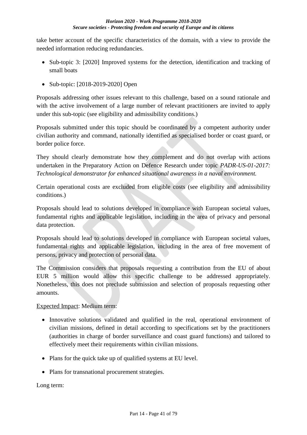take better account of the specific characteristics of the domain, with a view to provide the needed information reducing redundancies.

- Sub-topic 3: [2020] Improved systems for the detection, identification and tracking of small boats
- Sub-topic: [2018-2019-2020] Open

Proposals addressing other issues relevant to this challenge, based on a sound rationale and with the active involvement of a large number of relevant practitioners are invited to apply under this sub-topic (see eligibility and admissibility conditions.)

Proposals submitted under this topic should be coordinated by a competent authority under civilian authority and command, nationally identified as specialised border or coast guard, or border police force.

They should clearly demonstrate how they complement and do not overlap with actions undertaken in the Preparatory Action on Defence Research under topic *PADR-US-01-2017: Technological demonstrator for enhanced situational awareness in a naval environment.*

Certain operational costs are excluded from eligible costs (see eligibility and admissibility conditions.)

Proposals should lead to solutions developed in compliance with European societal values, fundamental rights and applicable legislation, including in the area of privacy and personal data protection.

Proposals should lead to solutions developed in compliance with European societal values, fundamental rights and applicable legislation, including in the area of free movement of persons, privacy and protection of personal data.

The Commission considers that proposals requesting a contribution from the EU of about EUR 5 million would allow this specific challenge to be addressed appropriately. Nonetheless, this does not preclude submission and selection of proposals requesting other amounts.

### Expected Impact: Medium term:

- Innovative solutions validated and qualified in the real, operational environment of civilian missions, defined in detail according to specifications set by the practitioners (authorities in charge of border surveillance and coast guard functions) and tailored to effectively meet their requirements within civilian missions.
- Plans for the quick take up of qualified systems at EU level.
- Plans for transnational procurement strategies.

Long term: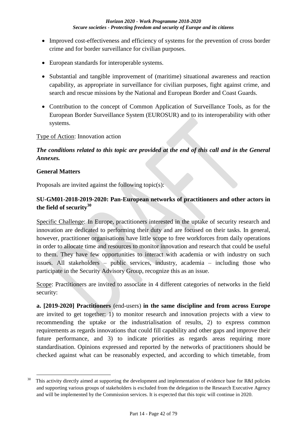- Improved cost-effectiveness and efficiency of systems for the prevention of cross border crime and for border surveillance for civilian purposes.
- European standards for interoperable systems.
- Substantial and tangible improvement of (maritime) situational awareness and reaction capability, as appropriate in surveillance for civilian purposes, fight against crime, and search and rescue missions by the National and European Border and Coast Guards.
- Contribution to the concept of Common Application of Surveillance Tools, as for the European Border Surveillance System (EUROSUR) and to its interoperability with other systems.

#### Type of Action: Innovation action

## *The conditions related to this topic are provided at the end of this call and in the General Annexes.*

#### **General Matters**

1

Proposals are invited against the following topic(s):

### **SU-GM01-2018-2019-2020: Pan-European networks of practitioners and other actors in the field of security<sup>30</sup>**

Specific Challenge: In Europe, practitioners interested in the uptake of security research and innovation are dedicated to performing their duty and are focused on their tasks. In general, however, practitioner organisations have little scope to free workforces from daily operations in order to allocate time and resources to monitor innovation and research that could be useful to them. They have few opportunities to interact with academia or with industry on such issues. All stakeholders – public services, industry, academia – including those who participate in the Security Advisory Group, recognize this as an issue.

Scope: Practitioners are invited to associate in 4 different categories of networks in the field security:

**a. [2019-2020] Practitioners** (end-users) **in the same discipline and from across Europe** are invited to get together: 1) to monitor research and innovation projects with a view to recommending the uptake or the industrialisation of results, 2) to express common requirements as regards innovations that could fill capability and other gaps and improve their future performance, and 3) to indicate priorities as regards areas requiring more standardisation. Opinions expressed and reported by the networks of practitioners should be checked against what can be reasonably expected, and according to which timetable, from

 $30$  This activity directly aimed at supporting the development and implementation of evidence base for R&I policies and supporting various groups of stakeholders is excluded from the delegation to the Research Executive Agency and will be implemented by the Commission services. It is expected that this topic will continue in 2020.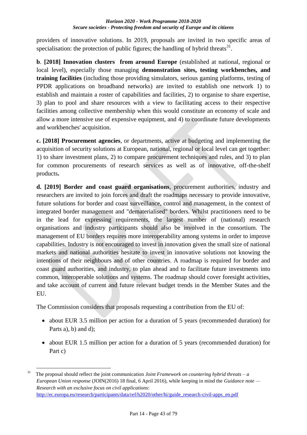providers of innovative solutions. In 2019, proposals are invited in two specific areas of specialisation: the protection of public figures; the handling of hybrid threats $^{31}$ .

**b.** [2018] Innovation clusters from around Europe (established at national, regional or local level), especially those managing **demonstration sites, testing workbenches, and training facilities** (including those providing simulators, serious gaming platforms, testing of PPDR applications on broadband networks) are invited to establish one network 1) to establish and maintain a roster of capabilities and facilities, 2) to organise to share expertise, 3) plan to pool and share resources with a view to facilitating access to their respective facilities among collective membership when this would constitute an economy of scale and allow a more intensive use of expensive equipment, and 4) to coordinate future developments and workbenches' acquisition.

**c. [2018] Procurement agencies**, or departments, active at budgeting and implementing the acquisition of security solutions at European, national, regional or local level can get together: 1) to share investment plans, 2) to compare procurement techniques and rules, and 3) to plan for common procurements of research services as well as of innovative, off-the-shelf products**.**

**d. [2019] Border and coast guard organisations**, procurement authorities, industry and researchers are invited to join forces and draft the roadmaps necessary to provide innovative, future solutions for border and coast surveillance, control and management, in the context of integrated border management and "dematerialised" borders. Whilst practitioners need to be in the lead for expressing requirements, the largest number of (national) research organisations and industry participants should also be involved in the consortium. The management of EU borders requires more interoperability among systems in order to improve capabilities. Industry is not encouraged to invest in innovation given the small size of national markets and national authorities hesitate to invest in innovative solutions not knowing the intentions of their neighbours and of other countries. A roadmap is required for border and coast guard authorities, and industry, to plan ahead and to facilitate future investments into common, interoperable solutions and systems. The roadmap should cover foresight activities, and take account of current and future relevant budget trends in the Member States and the EU.

The Commission considers that proposals requesting a contribution from the EU of:

- about EUR 3.5 million per action for a duration of 5 years (recommended duration) for Parts a), b) and d);
- about EUR 1.5 million per action for a duration of 5 years (recommended duration) for Part c)

<sup>1</sup> <sup>31</sup> The proposal should reflect the joint communication *Joint Framework on countering hybrid threats –*  $a$ *European Union response* (JOIN(2016) 18 final, 6 April 2016), while keeping in mind the *Guidance note — Research with an exclusive focus on civil applications*: [http://ec.europa.eu/research/participants/data/ref/h2020/other/hi/guide\\_research-civil-apps\\_en.pdf](http://ec.europa.eu/research/participants/data/ref/h2020/other/hi/guide_research-civil-apps_en.pdf)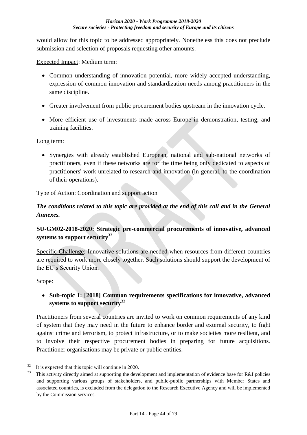would allow for this topic to be addressed appropriately. Nonetheless this does not preclude submission and selection of proposals requesting other amounts.

Expected Impact: Medium term:

- Common understanding of innovation potential, more widely accepted understanding, expression of common innovation and standardization needs among practitioners in the same discipline.
- Greater involvement from public procurement bodies upstream in the innovation cycle.
- More efficient use of investments made across Europe in demonstration, testing, and training facilities.

Long term:

 Synergies with already established European, national and sub-national networks of practitioners, even if these networks are for the time being only dedicated to aspects of practitioners' work unrelated to research and innovation (in general, to the coordination of their operations).

Type of Action: Coordination and support action

## *The conditions related to this topic are provided at the end of this call and in the General Annexes.*

## **SU-GM02-2018-2020: Strategic pre-commercial procurements of innovative, advanced systems to support security<sup>32</sup>**

Specific Challenge: Innovative solutions are needed when resources from different countries are required to work more closely together. Such solutions should support the development of the EU's Security Union.

### Scope:

1

### **Sub-topic 1: [2018] Common requirements specifications for innovative, advanced systems to support security**<sup>33</sup>

Practitioners from several countries are invited to work on common requirements of any kind of system that they may need in the future to enhance border and external security, to fight against crime and terrorism, to protect infrastructure, or to make societies more resilient, and to involve their respective procurement bodies in preparing for future acquisitions. Practitioner organisations may be private or public entities.

 $32$  It is expected that this topic will continue in 2020.

This activity directly aimed at supporting the development and implementation of evidence base for R&I policies and supporting various groups of stakeholders, and public-public partnerships with Member States and associated countries, is excluded from the delegation to the Research Executive Agency and will be implemented by the Commission services.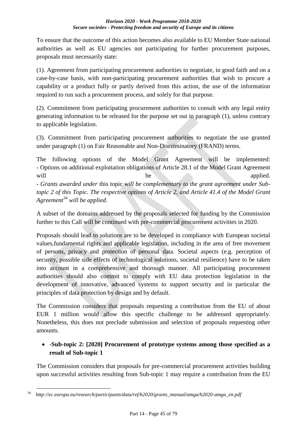To ensure that the outcome of this action becomes also available to EU Member State national authorities as well as EU agencies not participating for further procurement purposes, proposals must necessarily state:

(1). Agreement from participating procurement authorities to negotiate, in good faith and on a case-by-case basis, with non-participating procurement authorities that wish to procure a capability or a product fully or partly derived from this action, the use of the information required to run such a procurement process, and solely for that purpose.

(2). Commitment from participating procurement authorities to consult with any legal entity generating information to be released for the purpose set out in paragraph (1), unless contrary to applicable legislation.

(3). Commitment from participating procurement authorities to negotiate the use granted under paragraph (1) on Fair Reasonable and Non-Discriminatory (FRAND) terms.

The following options of the Model Grant Agreement will be implemented: - Options on additional exploitation obligations of Article 28.1 of the Model Grant Agreement will be applied. *- Grants awarded under* this topic *will be complementary to the grant agreement under Subtopic 2 of this Topic. The respective options of Article 2, and Article 41.4 of the Model Grant Agreement*<sup>34</sup> *will be applied*.

A subset of the domains addressed by the proposals selected for funding by the Commission further to this Call will be continued with pre-commercial procurement activities in 2020.

Proposals should lead to solutions are to be developed in compliance with European societal values,fundamental rights and applicable legislation, including in the area of free movement of persons, privacy and protection of personal data. Societal aspects (e.g. perception of security, possible side effects of technological solutions, societal resilience) have to be taken into account in a comprehensive and thorough manner. All participating procurement authorities should also commit to comply with EU data protection legislation in the development of innovative, advanced systems to support security and in particular the principles of data protection by design and by default.

The Commission considers that proposals requesting a contribution from the EU of about EUR 1 million would allow this specific challenge to be addressed appropriately. Nonetheless, this does not preclude submission and selection of proposals requesting other amounts.

## -**Sub-topic 2: [2020] Procurement of prototype systems among those specified as a result of Sub-topic 1**

The Commission considers that proposals for pre-commercial procurement activities building upon successful activities resulting from Sub-topic 1 may require a contribution from the EU

<sup>&</sup>lt;u>.</u> <sup>34</sup>*http://ec.europa.eu/research/participants/data/ref/h2020/grants\_manual/amga/h2020-amga\_en.pdf*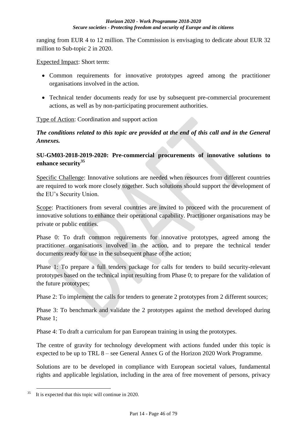ranging from EUR 4 to 12 million. The Commission is envisaging to dedicate about EUR 32 million to Sub-topic 2 in 2020.

Expected Impact: Short term:

- Common requirements for innovative prototypes agreed among the practitioner organisations involved in the action.
- Technical tender documents ready for use by subsequent pre-commercial procurement actions, as well as by non-participating procurement authorities.

Type of Action: Coordination and support action

*The conditions related to this topic are provided at the end of this call and in the General Annexes.*

### **SU-GM03-2018-2019-2020: Pre-commercial procurements of innovative solutions to enhance security<sup>35</sup>**

Specific Challenge: Innovative solutions are needed when resources from different countries are required to work more closely together. Such solutions should support the development of the EU's Security Union.

Scope: Practitioners from several countries are invited to proceed with the procurement of innovative solutions to enhance their operational capability. Practitioner organisations may be private or public entities.

Phase 0: To draft common requirements for innovative prototypes, agreed among the practitioner organisations involved in the action, and to prepare the technical tender documents ready for use in the subsequent phase of the action;

Phase 1: To prepare a full tenders package for calls for tenders to build security-relevant prototypes based on the technical input resulting from Phase 0; to prepare for the validation of the future prototypes;

Phase 2: To implement the calls for tenders to generate 2 prototypes from 2 different sources;

Phase 3: To benchmark and validate the 2 prototypes against the method developed during Phase 1;

Phase 4: To draft a curriculum for pan European training in using the prototypes.

The centre of gravity for technology development with actions funded under this topic is expected to be up to TRL 8 – see General Annex G of the Horizon 2020 Work Programme.

Solutions are to be developed in compliance with European societal values, fundamental rights and applicable legislation, including in the area of free movement of persons, privacy

<sup>&</sup>lt;u>.</u> It is expected that this topic will continue in 2020.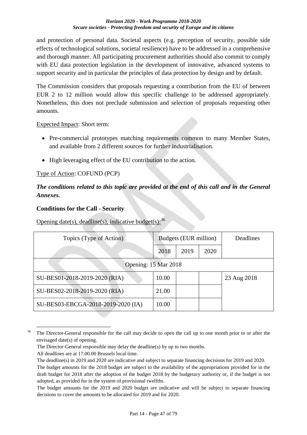and protection of personal data. Societal aspects (e.g. perception of security, possible side effects of technological solutions, societal resilience) have to be addressed in a comprehensive and thorough manner. All participating procurement authorities should also commit to comply with EU data protection legislation in the development of innovative, advanced systems to support security and in particular the principles of data protection by design and by default.

The Commission considers that proposals requesting a contribution from the EU of between EUR 2 to 12 million would allow this specific challenge to be addressed appropriately. Nonetheless, this does not preclude submission and selection of proposals requesting other amounts.

### Expected Impact: Short term:

- Pre-commercial prototypes matching requirements common to many Member States, and available from 2 different sources for further industrialisation.
- High leveraging effect of the EU contribution to the action.

### Type of Action: COFUND (PCP)

## *The conditions related to this topic are provided at the end of this call and in the General Annexes.*

### **Conditions for the Call - Security**

Opening date(s), deadline(s), indicative budget(s):  $36$ 

| Topics (Type of Action)            | Budgets (EUR million) |      | <b>Deadlines</b> |             |  |
|------------------------------------|-----------------------|------|------------------|-------------|--|
|                                    | 2018                  | 2019 | 2020             |             |  |
| Opening: 15 Mar 2018               |                       |      |                  |             |  |
| SU-BES01-2018-2019-2020 (RIA)      | 10.00                 |      |                  | 23 Aug 2018 |  |
| SU-BES02-2018-2019-2020 (RIA)      | 21.00                 |      |                  |             |  |
| SU-BES03-EBCGA-2018-2019-2020 (IA) | 10.00                 |      |                  |             |  |

<sup>&</sup>lt;sup>36</sup> The Director-General responsible for the call may decide to open the call up to one month prior to or after the envisaged date(s) of opening.

1

The Director-General responsible may delay the deadline(s) by up to two months.

All deadlines are at 17.00.00 Brussels local time.

The deadline(s) in 2019 and 2020 are indicative and subject to separate financing decisions for 2019 and 2020. The budget amounts for the 2018 budget are subject to the availability of the appropriations provided for in the draft budget for 2018 after the adoption of the budget 2018 by the budgetary authority or, if the budget is not adopted, as provided for in the system of provisional twelfths.

The budget amounts for the 2019 and 2020 budget are indicative and will be subject to separate financing decisions to cover the amounts to be allocated for 2019 and for 2020.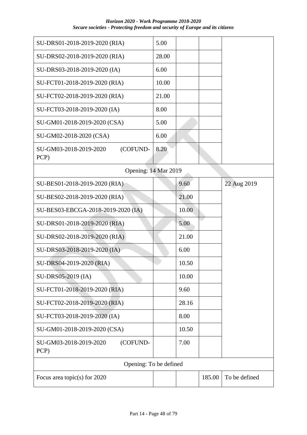| SU-DRS01-2018-2019-2020 (RIA)              | 5.00  |       |        |               |
|--------------------------------------------|-------|-------|--------|---------------|
| SU-DRS02-2018-2019-2020 (RIA)              | 28.00 |       |        |               |
| SU-DRS03-2018-2019-2020 (IA)               | 6.00  |       |        |               |
| SU-FCT01-2018-2019-2020 (RIA)              | 10.00 |       |        |               |
| SU-FCT02-2018-2019-2020 (RIA)              | 21.00 |       |        |               |
| SU-FCT03-2018-2019-2020 (IA)               | 8.00  |       |        |               |
| SU-GM01-2018-2019-2020 (CSA)               | 5.00  |       |        |               |
| SU-GM02-2018-2020 (CSA)                    | 6.00  |       |        |               |
| SU-GM03-2018-2019-2020<br>(COFUND-<br>PCP) | 8.20  |       |        |               |
| Opening: 14 Mar 2019                       |       |       |        |               |
| SU-BES01-2018-2019-2020 (RIA)              |       | 9.60  |        | 22 Aug 2019   |
| SU-BES02-2018-2019-2020 (RIA)              |       | 21.00 |        |               |
| SU-BES03-EBCGA-2018-2019-2020 (IA)         |       | 10.00 |        |               |
| SU-DRS01-2018-2019-2020 (RIA)              |       | 5.00  |        |               |
| SU-DRS02-2018-2019-2020 (RIA)              |       | 21.00 |        |               |
| SU-DRS03-2018-2019-2020 (IA)               |       | 6.00  |        |               |
| SU-DRS04-2019-2020 (RIA)                   |       | 10.50 |        |               |
| SU-DRS05-2019 (IA)                         |       | 10.00 |        |               |
| SU-FCT01-2018-2019-2020 (RIA)              |       | 9.60  |        |               |
| SU-FCT02-2018-2019-2020 (RIA)              |       | 28.16 |        |               |
| SU-FCT03-2018-2019-2020 (IA)               |       | 8.00  |        |               |
| SU-GM01-2018-2019-2020 (CSA)               |       | 10.50 |        |               |
| SU-GM03-2018-2019-2020<br>(COFUND-<br>PCP) |       | 7.00  |        |               |
| Opening: To be defined                     |       |       |        |               |
| Focus area topic(s) for $2020$             |       |       | 185.00 | To be defined |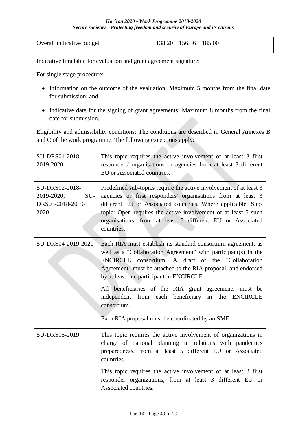| Overall indicative budget | $138.20$   156.36   185.00 |  |  |
|---------------------------|----------------------------|--|--|
|                           |                            |  |  |

Indicative timetable for evaluation and grant agreement signature:

For single stage procedure:

- Information on the outcome of the evaluation: Maximum 5 months from the final date for submission; and
- Indicative date for the signing of grant agreements: Maximum 8 months from the final date for submission.

Eligibility and admissibility conditions: The conditions are described in General Annexes B and C of the work programme. The following exceptions apply:

| SU-DRS01-2018-<br>2019-2020                                     | This topic requires the active involvement of at least 3 first<br>responders' organisations or agencies from at least 3 different<br>EU or Associated countries.                                                                                                                                                                                                                                                                                                                                    |
|-----------------------------------------------------------------|-----------------------------------------------------------------------------------------------------------------------------------------------------------------------------------------------------------------------------------------------------------------------------------------------------------------------------------------------------------------------------------------------------------------------------------------------------------------------------------------------------|
| SU-DRS02-2018-<br>SU-<br>2019-2020,<br>DRS03-2018-2019-<br>2020 | Predefined sub-topics require the active involvement of at least 3<br>agencies or first responders' organisations from at least 3<br>different EU or Associated countries. Where applicable, Sub-<br>topic: Open requires the active involvement of at least 5 such<br>organisations, from at least 5 different EU or Associated<br>countries.                                                                                                                                                      |
| SU-DRS04-2019-2020                                              | Each RIA must establish its standard consortium agreement, as<br>well as a "Collaboration Agreement" with participant(s) in the<br>ENCIRCLE consortium. A draft of the "Collaboration<br>Agreement" must be attached to the RIA proposal, and endorsed<br>by at least one participant in ENCIRCLE.<br>All beneficiaries of the RIA grant agreements must be<br>independent from each beneficiary<br>in<br><b>ENCIRCLE</b><br>the<br>consortium.<br>Each RIA proposal must be coordinated by an SME. |
| SU-DRS05-2019                                                   | This topic requires the active involvement of organizations in<br>charge of national planning in relations with pandemics<br>preparedness, from at least 5 different EU or Associated<br>countries.<br>This topic requires the active involvement of at least 3 first<br>responder organizations, from at least 3 different EU or<br>Associated countries.                                                                                                                                          |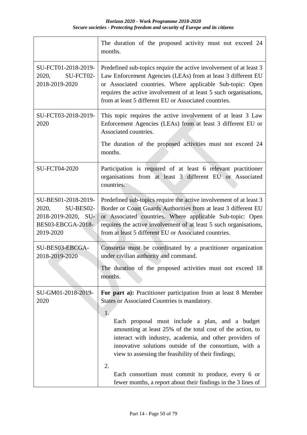|                                                                                                    | The duration of the proposed activity must not exceed 24<br>months.                                                                                                                                                                                                                                                              |
|----------------------------------------------------------------------------------------------------|----------------------------------------------------------------------------------------------------------------------------------------------------------------------------------------------------------------------------------------------------------------------------------------------------------------------------------|
| SU-FCT01-2018-2019-<br>2020,<br>SU-FCT02-<br>2018-2019-2020                                        | Predefined sub-topics require the active involvement of at least 3<br>Law Enforcement Agencies (LEAs) from at least 3 different EU<br>or Associated countries. Where applicable Sub-topic: Open<br>requires the active involvement of at least 5 such organisations,<br>from at least 5 different EU or Associated countries.    |
| SU-FCT03-2018-2019-<br>2020                                                                        | This topic requires the active involvement of at least 3 Law<br>Enforcement Agencies (LEAs) from at least 3 different EU or<br>Associated countries.                                                                                                                                                                             |
|                                                                                                    | The duration of the proposed activities must not exceed 24<br>months.                                                                                                                                                                                                                                                            |
| SU-FCT04-2020                                                                                      | Participation is required of at least 6 relevant practitioner<br>organisations from at least 3 different EU or Associated<br>countries.                                                                                                                                                                                          |
| SU-BES01-2018-2019-<br>SU-BES02-<br>2020,<br>2018-2019-2020, SU-<br>BES03-EBCGA-2018-<br>2019-2020 | Predefined sub-topics require the active involvement of at least 3<br>Border or Coast Guards Authorities from at least 3 different EU<br>or Associated countries. Where applicable Sub-topic: Open<br>requires the active involvement of at least 5 such organisations,<br>from at least 5 different EU or Associated countries. |
| SU-BES03-EBCGA-<br>2018-2019-2020                                                                  | Consortia must be coordinated by a practitioner organization<br>under civilian authority and command.                                                                                                                                                                                                                            |
|                                                                                                    | The duration of the proposed activities must not exceed 18<br>months.                                                                                                                                                                                                                                                            |
| SU-GM01-2018-2019-<br>2020                                                                         | For part a): Practitioner participation from at least 8 Member<br>States or Associated Countries is mandatory.<br>1.                                                                                                                                                                                                             |
|                                                                                                    | Each proposal must include a plan, and a budget<br>amounting at least 25% of the total cost of the action, to<br>interact with industry, academia, and other providers of<br>innovative solutions outside of the consortium, with a<br>view to assessing the feasibility of their findings;                                      |
|                                                                                                    | 2.<br>Each consortium must commit to produce, every 6 or<br>fewer months, a report about their findings in the 3 lines of                                                                                                                                                                                                        |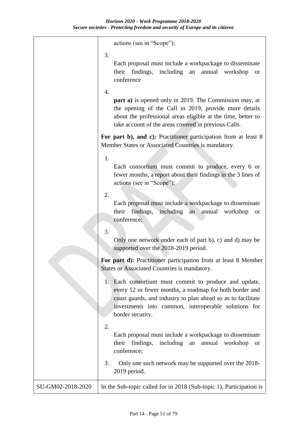|                   | actions (see in "Scope");                                                                                                                                                                                                                                    |
|-------------------|--------------------------------------------------------------------------------------------------------------------------------------------------------------------------------------------------------------------------------------------------------------|
|                   | 3.<br>Each proposal must include a workpackage to disseminate<br>their findings,<br>including<br>annual<br>an<br>workshop<br><b>or</b><br>conference                                                                                                         |
|                   | 4.<br><b>part a)</b> is opened only in 2019. The Commission may, at<br>the opening of the Call in 2019, provide more details<br>about the professional areas eligible at the time, better to<br>take account of the areas covered in previous Calls.         |
|                   | For part b), and c): Practitioner participation from at least 8<br>Member States or Associated Countries is mandatory.                                                                                                                                       |
|                   | 1.<br>Each consortium must commit to produce, every 6 or<br>fewer months, a report about their findings in the 3 lines of<br>actions (see in "Scope");                                                                                                       |
|                   | 2.<br>Each proposal must include a workpackage to disseminate<br>including<br>their findings,<br>an<br>annual<br>workshop<br><b>or</b><br>conference;                                                                                                        |
|                   | 3.<br>Only one network under each of part b), c) and d) may be<br>supported over the 2018-2019 period.                                                                                                                                                       |
|                   | For part d): Practitioner participation from at least 8 Member<br>States or Associated Countries is mandatory.                                                                                                                                               |
|                   | 1. Each consortium must commit to produce and update,<br>every 12 or fewer months, a roadmap for both border and<br>coast guards, and industry to plan ahead so as to facilitate<br>investments into common, interoperable solutions for<br>border security. |
|                   | 2.<br>Each proposal must include a workpackage to disseminate<br>their findings,<br>including<br>annual workshop<br>an<br><b>or</b><br>conference;                                                                                                           |
|                   | 3.<br>Only one such network may be supported over the 2018-<br>2019 period.                                                                                                                                                                                  |
| SU-GM02-2018-2020 | In the Sub-topic called for in 2018 (Sub-topic 1), Participation is                                                                                                                                                                                          |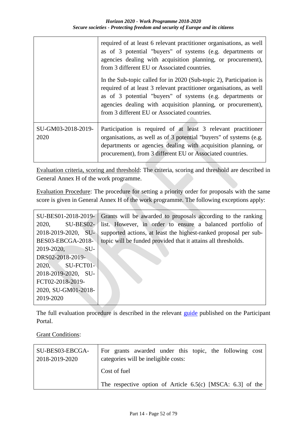|                            | required of at least 6 relevant practitioner organisations, as well<br>as of 3 potential "buyers" of systems (e.g. departments or<br>agencies dealing with acquisition planning, or procurement),<br>from 3 different EU or Associated countries.                                                                        |
|----------------------------|--------------------------------------------------------------------------------------------------------------------------------------------------------------------------------------------------------------------------------------------------------------------------------------------------------------------------|
|                            | In the Sub-topic called for in 2020 (Sub-topic 2), Participation is<br>required of at least 3 relevant practitioner organisations, as well<br>as of 3 potential "buyers" of systems (e.g. departments or<br>agencies dealing with acquisition planning, or procurement),<br>from 3 different EU or Associated countries. |
| SU-GM03-2018-2019-<br>2020 | Participation is required of at least 3 relevant practitioner<br>organisations, as well as of 3 potential "buyers" of systems (e.g.<br>departments or agencies dealing with acquisition planning, or<br>procurement), from 3 different EU or Associated countries.                                                       |

Evaluation criteria, scoring and threshold: The criteria, scoring and threshold are described in General Annex H of the work programme.

Evaluation Procedure: The procedure for setting a priority order for proposals with the same score is given in General Annex H of the work programme. The following exceptions apply:

|                     | SU-BES01-2018-2019- Grants will be awarded to proposals according to the ranking |
|---------------------|----------------------------------------------------------------------------------|
| 2020, SU-BES02-     | list. However, in order to ensure a balanced portfolio of                        |
| 2018-2019-2020, SU- | supported actions, at least the highest-ranked proposal per sub-                 |
| BES03-EBCGA-2018-   | topic will be funded provided that it attains all thresholds.                    |
| 2019-2020, SU-      |                                                                                  |
| DRS02-2018-2019-    |                                                                                  |
| 2020, SU-FCT01-     |                                                                                  |
| 2018-2019-2020, SU- |                                                                                  |
| FCT02-2018-2019-    |                                                                                  |
| 2020, SU-GM01-2018- |                                                                                  |
| 2019-2020           |                                                                                  |

The full evaluation procedure is described in the relevant [guide](http://ec.europa.eu/research/participants/docs/h2020-funding-guide/grants/applying-for-funding/submit-proposals_en.htm) published on the Participant Portal.

**Grant Conditions:** 

| SU-BES03-EBCGA-<br>2018-2019-2020 | For grants awarded under this topic, the following cost<br>categories will be ineligible costs: |  |  |  |  |  |
|-----------------------------------|-------------------------------------------------------------------------------------------------|--|--|--|--|--|
|                                   | Cost of fuel                                                                                    |  |  |  |  |  |
|                                   | The respective option of Article $6.5(c)$ [MSCA: $6.3$ ] of the                                 |  |  |  |  |  |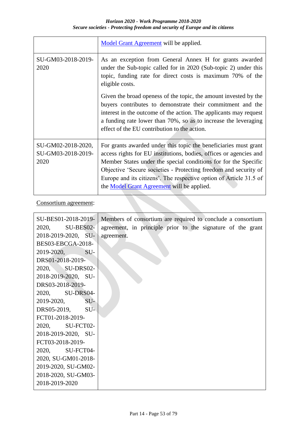|                                                  | Model Grant Agreement will be applied.                                                                                                                                                                                                                                                                                                                                                            |
|--------------------------------------------------|---------------------------------------------------------------------------------------------------------------------------------------------------------------------------------------------------------------------------------------------------------------------------------------------------------------------------------------------------------------------------------------------------|
| SU-GM03-2018-2019-<br>2020                       | As an exception from General Annex H for grants awarded<br>under the Sub-topic called for in 2020 (Sub-topic 2) under this<br>topic, funding rate for direct costs is maximum 70% of the<br>eligible costs.                                                                                                                                                                                       |
|                                                  | Given the broad openess of the topic, the amount invested by the<br>buyers contributes to demonstrate their commitment and the<br>interest in the outcome of the action. The applicants may request<br>a funding rate lower than 70%, so as to increase the leveraging<br>effect of the EU contribution to the action.                                                                            |
| SU-GM02-2018-2020,<br>SU-GM03-2018-2019-<br>2020 | For grants awarded under this topic the beneficiaries must grant<br>access rights for EU institutions, bodies, offices or agencies and<br>Member States under the special conditions for for the Specific<br>Objective 'Secure societies - Protecting freedom and security of<br>Europe and its citizens'. The respective option of Article 31.5 of<br>the Model Grant Agreement will be applied. |

Consortium agreement:

| SU-BES01-2018-2019- | Members of consortium are required to conclude a consortium |
|---------------------|-------------------------------------------------------------|
| 2020, SU-BES02-     | agreement, in principle prior to the signature of the grant |
| 2018-2019-2020, SU- | agreement.                                                  |
| BES03-EBCGA-2018-   |                                                             |
| 2019-2020, SU-      |                                                             |
| DRS01-2018-2019-    |                                                             |
| 2020, SU-DRS02-     |                                                             |
| 2018-2019-2020, SU- |                                                             |
| DRS03-2018-2019-    |                                                             |
| 2020, SU-DRS04-     |                                                             |
| 2019-2020, SU-      |                                                             |
| DRS05-2019, SU-     |                                                             |
| FCT01-2018-2019-    |                                                             |
| 2020, SU-FCT02-     |                                                             |
| 2018-2019-2020, SU- |                                                             |
| FCT03-2018-2019-    |                                                             |
| 2020, SU-FCT04-     |                                                             |
| 2020, SU-GM01-2018- |                                                             |
| 2019-2020, SU-GM02- |                                                             |
| 2018-2020, SU-GM03- |                                                             |
| 2018-2019-2020      |                                                             |
|                     |                                                             |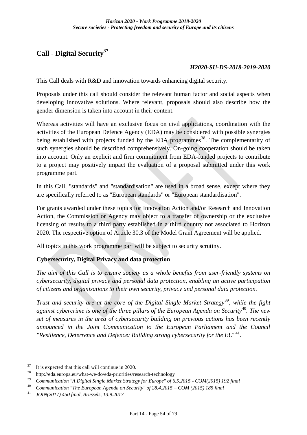# **Call - Digital Security<sup>37</sup>**

#### *H2020-SU-DS-2018-2019-2020*

This Call deals with R&D and innovation towards enhancing digital security.

Proposals under this call should consider the relevant human factor and social aspects when developing innovative solutions. Where relevant, proposals should also describe how the gender dimension is taken into account in their content.

Whereas activities will have an exclusive focus on civil applications, coordination with the activities of the European Defence Agency (EDA) may be considered with possible synergies being established with projects funded by the EDA programmes<sup>38</sup>. The complementarity of such synergies should be described comprehensively. On-going cooperation should be taken into account. Only an explicit and firm commitment from EDA-funded projects to contribute to a project may positively impact the evaluation of a proposal submitted under this work programme part.

In this Call, "standards" and "standardisation" are used in a broad sense, except where they are specifically referred to as "European standards" or "European standardisation".

For grants awarded under these topics for Innovation Action and/or Research and Innovation Action, the Commission or Agency may object to a transfer of ownership or the exclusive licensing of results to a third party established in a third country not associated to Horizon 2020. The respective option of Article 30.3 of the Model Grant Agreement will be applied.

All topics in this work programme part will be subject to security scrutiny.

### **Cybersecurity, Digital Privacy and data protection**

*The aim of this Call is to ensure society as a whole benefits from user-friendly systems on cybersecurity, digital privacy and personal data protection, enabling an active participation of citizens and organisations to their own security, privacy and personal data protection.*

*Trust and security are at the core of the Digital Single Market Strategy*<sup>39</sup>*, while the fight against cybercrime is one of the three pillars of the European Agenda on Security*<sup>40</sup>*. The new set of measures in the area of cybersecurity building on previous actions has been recently announced in the Joint Communication to the European Parliament and the Council "Resilience, Deterrence and Defence: Building strong cybersecurity for the EU"*<sup>41</sup> *.*

1

 $37$  It is expected that this call will continue in 2020.

 $38$  http://eda.europa.eu/what-we-do/eda-priorities/research-technology

<sup>39</sup>*Communication "A Digital Single Market Strategy for Europe" of 6.5.2015 - COM(2015) 192 final*

<sup>40</sup>*Communication "The European Agenda on Security" of 28.4.2015 – COM (2015) 185 final*

<sup>41</sup>*JOIN(2017) 450 final, Brussels, 13.9.2017*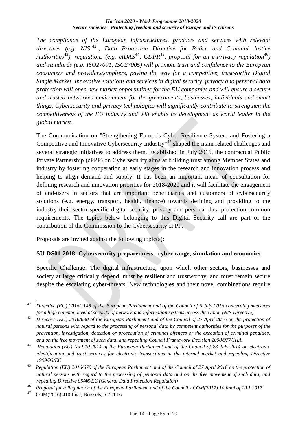*The compliance of the European infrastructures, products and services with relevant directives (e.g. NIS* <sup>42</sup> *, Data Protection Directive for Police and Criminal Justice Authorities*<sup>43</sup>*), regulations (e.g. eIDAS*<sup>44</sup>*, GDPR*<sup>45</sup>*, proposal for an e-Privacy regulation*<sup>46</sup>*) and standards (e.g. ISO27001, ISO27005) will promote trust and confidence to the European consumers and providers/suppliers, paving the way for a competitive, trustworthy Digital Single Market. Innovative solutions and services in digital security, privacy and personal data protection will open new market opportunities for the EU companies and will ensure a secure and trusted networked environment for the governments, businesses, individuals and smart things. Cybersecurity and privacy technologies will significantly contribute to strengthen the competitiveness of the EU industry and will enable its development as world leader in the global market.*

The Communication on "Strengthening Europe's Cyber Resilience System and Fostering a Competitive and Innovative Cybersecurity Industry"<sup>47</sup> shaped the main related challenges and several strategic initiatives to address them. Established in July 2016, the contractual Public Private Partnership (cPPP) on Cybersecurity aims at building trust among Member States and industry by fostering cooperation at early stages in the research and innovation process and helping to align demand and supply. It has been an important mean of consultation for defining research and innovation priorities for 2018-2020 and it will facilitate the engagement of end-users in sectors that are important beneficiaries and customers of cybersecurity solutions (e.g. energy, transport, health, finance) towards defining and providing to the industry their sector-specific digital security, privacy and personal data protection common requirements. The topics below belonging to this Digital Security call are part of the contribution of the Commission to the Cybersecurity cPPP.

Proposals are invited against the following topic(s):

### **SU-DS01-2018: Cybersecurity preparedness - cyber range, simulation and economics**

Specific Challenge: The digital infrastructure, upon which other sectors, businesses and society at large critically depend, must be resilient and trustworthy, and must remain secure despite the escalating cyber-threats. New technologies and their novel combinations require

<sup>1</sup> <sup>42</sup>*Directive (EU) 2016/1148 of the European Parliament and of the Council of 6 July 2016 concerning measures for a high common level of security of network and information systems across the Union (NIS Directive)*

<sup>43</sup>*Directive (EU) 2016/680 of the European Parliament and of the Council of 27 April 2016 on the protection of natural persons with regard to the processing of personal data by competent authorities for the purposes of the prevention, investigation, detection or prosecution of criminal offences or the execution of criminal penalties, and on the free movement of such data, and repealing Council Framework Decision 2008/977/JHA*

<sup>44</sup>*Regulation (EU) No 910/2014 of the European Parliament and of the Council of 23 July 2014 on electronic identification and trust services for electronic transactions in the internal market and repealing Directive 1999/93/EC*

<sup>45</sup>*Regulation (EU) 2016/679 of the European Parliament and of the Council of 27 April 2016 on the protection of natural persons with regard to the processing of personal data and on the free movement of such data, and repealing Directive 95/46/EC (General Data Protection Regulation)*

<sup>&</sup>lt;sup>46</sup> Proposal for a Regulation of the European Parliament and of the Council - *COM(2017) 10 final of 10.1.2017*<br><sup>47</sup> COM(2016) 410 final Brussels 5.7.2016

<sup>47</sup>COM(2016) 410 final, Brussels, 5.7.2016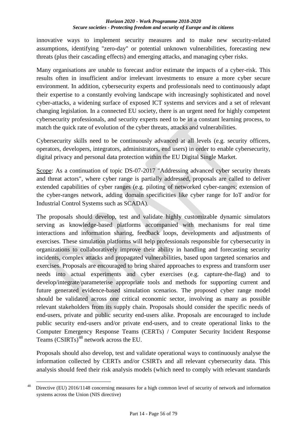innovative ways to implement security measures and to make new security-related assumptions, identifying "zero-day" or potential unknown vulnerabilities, forecasting new threats (plus their cascading effects) and emerging attacks, and managing cyber risks.

Many organisations are unable to forecast and/or estimate the impacts of a cyber-risk. This results often in insufficient and/or irrelevant investments to ensure a more cyber secure environment. In addition, cybersecurity experts and professionals need to continuously adapt their expertise to a constantly evolving landscape with increasingly sophisticated and novel cyber-attacks, a widening surface of exposed ICT systems and services and a set of relevant changing legislation. In a connected EU society, there is an urgent need for highly competent cybersecurity professionals, and security experts need to be in a constant learning process, to match the quick rate of evolution of the cyber threats, attacks and vulnerabilities.

Cybersecurity skills need to be continuously advanced at all levels (e.g. security officers, operators, developers, integrators, administrators, end users) in order to enable cybersecurity, digital privacy and personal data protection within the EU Digital Single Market.

Scope: As a continuation of topic DS-07-2017 "Addressing advanced cyber security threats and threat actors", where cyber range is partially addressed, proposals are called to deliver extended capabilities of cyber ranges (e.g. piloting of networked cyber-ranges; extension of the cyber-ranges network, adding domain specificities like cyber range for IoT and/or for Industrial Control Systems such as SCADA).

The proposals should develop, test and validate highly customizable dynamic simulators serving as knowledge-based platforms accompanied with mechanisms for real time interactions and information sharing, feedback loops, developments and adjustments of exercises. These simulation platforms will help professionals responsible for cybersecurity in organizations to collaboratively improve their ability in handling and forecasting security incidents, complex attacks and propagated vulnerabilities, based upon targeted scenarios and exercises. Proposals are encouraged to bring shared approaches to express and transform user needs into actual experiments and cyber exercises (e.g. capture-the-flag) and to develop/integrate/parameterise appropriate tools and methods for supporting current and future generated evidence-based simulation scenarios. The proposed cyber range model should be validated across one critical economic sector, involving as many as possible relevant stakeholders from its supply chain. Proposals should consider the specific needs of end-users, private and public security end-users alike. Proposals are encouraged to include public security end-users and/or private end-users, and to create operational links to the Computer Emergency Response Teams (CERTs) / Computer Security Incident Response Teams (CSIRTs)<sup>48</sup> network across the EU.

Proposals should also develop, test and validate operational ways to continuously analyse the information collected by CERTs and/or CSIRTs and all relevant cybersecurity data. This analysis should feed their risk analysis models (which need to comply with relevant standards

<sup>1</sup> <sup>48</sup> Directive (EU) 2016/1148 concerning measures for a high common level of security of network and information systems across the Union (NIS directive)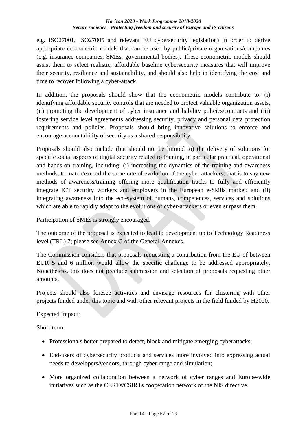e.g. ISO27001, ISO27005 and relevant EU cybersecurity legislation) in order to derive appropriate econometric models that can be used by public/private organisations/companies (e.g. insurance companies, SMEs, governmental bodies). These econometric models should assist them to select realistic, affordable baseline cybersecurity measures that will improve their security, resilience and sustainability, and should also help in identifying the cost and time to recover following a cyber-attack.

In addition, the proposals should show that the econometric models contribute to: (i) identifying affordable security controls that are needed to protect valuable organization assets, (ii) promoting the development of cyber insurance and liability policies/contracts and (iii) fostering service level agreements addressing security, privacy and personal data protection requirements and policies. Proposals should bring innovative solutions to enforce and encourage accountability of security as a shared responsibility.

Proposals should also include (but should not be limited to) the delivery of solutions for specific social aspects of digital security related to training, in particular practical, operational and hands-on training, including: (i) increasing the dynamics of the training and awareness methods, to match/exceed the same rate of evolution of the cyber attackers, that is to say new methods of awareness/training offering more qualification tracks to fully and efficiently integrate ICT security workers and employers in the European e-Skills market; and (ii) integrating awareness into the eco-system of humans, competences, services and solutions which are able to rapidly adapt to the evolutions of cyber-attackers or even surpass them.

Participation of SMEs is strongly encouraged.

The outcome of the proposal is expected to lead to development up to Technology Readiness level (TRL) 7; please see Annex G of the General Annexes.

The Commission considers that proposals requesting a contribution from the EU of between EUR 5 and 6 million would allow the specific challenge to be addressed appropriately. Nonetheless, this does not preclude submission and selection of proposals requesting other amounts.

Projects should also foresee activities and envisage resources for clustering with other projects funded under this topic and with other relevant projects in the field funded by H2020.

### Expected Impact:

Short-term:

- Professionals better prepared to detect, block and mitigate emerging cyberattacks;
- End-users of cybersecurity products and services more involved into expressing actual needs to developers/vendors, through cyber range and simulation;
- More organized collaboration between a network of cyber ranges and Europe-wide initiatives such as the CERTs/CSIRTs cooperation network of the NIS directive.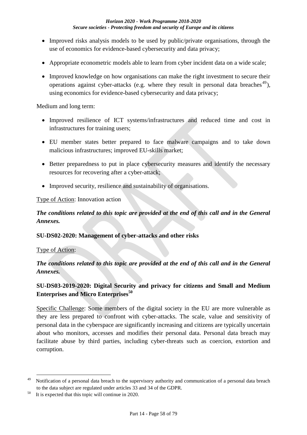- Improved risks analysis models to be used by public/private organisations, through the use of economics for evidence-based cybersecurity and data privacy;
- Appropriate econometric models able to learn from cyber incident data on a wide scale;
- Improved knowledge on how organisations can make the right investment to secure their operations against cyber-attacks (e.g. where they result in personal data breaches  $49$ ), using economics for evidence-based cybersecurity and data privacy;

Medium and long term:

- Improved resilience of ICT systems/infrastructures and reduced time and cost in infrastructures for training users;
- EU member states better prepared to face malware campaigns and to take down malicious infrastructures; improved EU-skills market;
- Better preparedness to put in place cybersecurity measures and identify the necessary resources for recovering after a cyber-attack;
- Improved security, resilience and sustainability of organisations.

#### Type of Action: Innovation action

## *The conditions related to this topic are provided at the end of this call and in the General Annexes.*

#### **SU-DS02-2020: Management of cyber-attacks and other risks**

#### Type of Action:

1

### *The conditions related to this topic are provided at the end of this call and in the General Annexes.*

### **SU-DS03-2019-2020: Digital Security and privacy for citizens and Small and Medium Enterprises and Micro Enterprises<sup>50</sup>**

Specific Challenge: Some members of the digital society in the EU are more vulnerable as they are less prepared to confront with cyber-attacks. The scale, value and sensitivity of personal data in the cyberspace are significantly increasing and citizens are typically uncertain about who monitors, accesses and modifies their personal data. Personal data breach may facilitate abuse by third parties, including cyber-threats such as coercion, extortion and corruption.

 $49$  Notification of a personal data breach to the supervisory authority and communication of a personal data breach to the data subject are regulated under articles 33 and 34 of the GDPR.

It is expected that this topic will continue in 2020.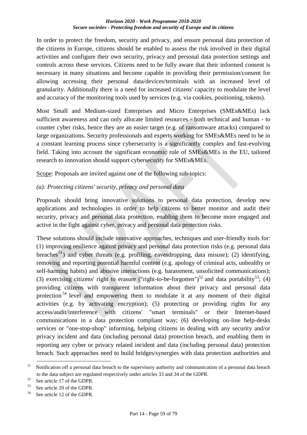In order to protect the freedom, security and privacy, and ensure personal data protection of the citizens in Europe, citizens should be enabled to assess the risk involved in their digital activities and configure their own security, privacy and personal data protection settings and controls across these services. Citizens need to be fully aware that their informed consent is necessary in many situations and become capable in providing their permission/consent for allowing accessing their personal data/devices/terminals with an increased level of granularity. Additionally there is a need for increased citizens' capacity to modulate the level and accuracy of the monitoring tools used by services (e.g. via cookies, positioning, tokens).

Most Small and Medium-sized Enterprises and Micro Enterprises (SMEs&MEs) lack sufficient awareness and can only allocate limited resources - both technical and human - to counter cyber risks, hence they are an easier target (e.g. of ransomware attacks) compared to large organizations. Security professionals and experts working for SMEs&MEs need to be in a constant learning process since cybersecurity is a significantly complex and fast-evolving field. Taking into account the significant economic role of SMEs&MEs in the EU, tailored research to innovation should support cybersecurity for SMEs&MEs.

Scope: Proposals are invited against one of the following sub-topics:

### *(a): Protecting citizens' security, privacy and personal data*

Proposals should bring innovative solutions to personal data protection, develop new applications and technologies in order to help citizens to better monitor and audit their security, privacy and personal data protection, enabling them to become more engaged and active in the fight against cyber, privacy and personal data protection risks.

These solutions should include innovative approaches, techniques and user-friendly tools for: (1) improving resilience against privacy and personal data protection risks (e.g. personal data breaches<sup>51</sup>) and cyber threats (e.g. profiling, eavesdropping, data misuse); (2) identifying, removing and reporting potential harmful content (e.g. apology of criminal acts, unhealthy or self-harming habits) and abusive interactions (e.g. harassment, unsolicited communications); (3) exercising citizens' right to erasure ("right-to-be-forgotten")<sup>52</sup> and data portability<sup>53</sup>; (4) providing citizens with transparent information about their privacy and personal data protection <sup>54</sup> level and empowering them to modulate it at any moment of their digital activities (e.g. by activating encryption); (5) protecting or providing rights for any access/audit/interference with citizens' "smart terminals" or their Internet-based communications in a data protection compliant way; (6) developing on-line help-desks services or "one-stop-shop" informing, helping citizens in dealing with any security and/or privacy incident and data (including personal data) protection breach, and enabling them in reporting any cyber or privacy related incident and data (including personal data) protection breach. Such approaches need to build bridges/synergies with data protection authorities and

1

 $51$  Notification off a personal data breach to the supervisory authority and communication of a personal data breach to the data subject are regulated respectively under articles 33 and 34 of the GDPR.

 $52$  See article 17 of the GDPR.<br> $53$  See article 20 of the GDPP.

 $^{53}$  See article 20 of the GDPR.<br> $^{54}$  See article 12 of the GDPP

See article 12 of the GDPR.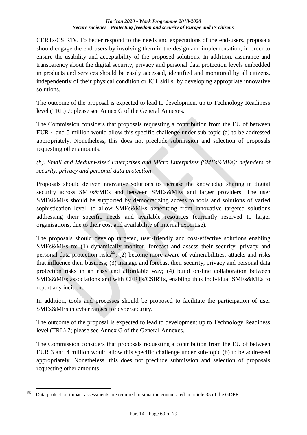CERTs/CSIRTs. To better respond to the needs and expectations of the end-users, proposals should engage the end-users by involving them in the design and implementation, in order to ensure the usability and acceptability of the proposed solutions. In addition, assurance and transparency about the digital security, privacy and personal data protection levels embedded in products and services should be easily accessed, identified and monitored by all citizens, independently of their physical condition or ICT skills, by developing appropriate innovative solutions.

The outcome of the proposal is expected to lead to development up to Technology Readiness level (TRL) 7; please see Annex G of the General Annexes.

The Commission considers that proposals requesting a contribution from the EU of between EUR 4 and 5 million would allow this specific challenge under sub-topic (a) to be addressed appropriately. Nonetheless, this does not preclude submission and selection of proposals requesting other amounts.

*(b): Small and Medium-sized Enterprises and Micro Enterprises (SMEs&MEs): defenders of security, privacy and personal data protection*

Proposals should deliver innovative solutions to increase the knowledge sharing in digital security across SMEs&MEs and between SMEs&MEs and larger providers. The user SMEs&MEs should be supported by democratizing access to tools and solutions of varied sophistication level, to allow SMEs&MEs benefitting from innovative targeted solutions addressing their specific needs and available resources (currently reserved to larger organisations, due to their cost and availability of internal expertise).

The proposals should develop targeted, user-friendly and cost-effective solutions enabling SMEs&MEs to: (1) dynamically monitor, forecast and assess their security, privacy and personal data protection risks<sup>55</sup>; (2) become more aware of vulnerabilities, attacks and risks that influence their business; (3) manage and forecast their security, privacy and personal data protection risks in an easy and affordable way; (4) build on-line collaboration between SMEs&MEs associations and with CERTs/CSIRTs, enabling thus individual SMEs&MEs to report any incident.

In addition, tools and processes should be proposed to facilitate the participation of user SMEs&MEs in cyber ranges for cybersecurity.

The outcome of the proposal is expected to lead to development up to Technology Readiness level (TRL) 7; please see Annex G of the General Annexes.

The Commission considers that proposals requesting a contribution from the EU of between EUR 3 and 4 million would allow this specific challenge under sub-topic (b) to be addressed appropriately. Nonetheless, this does not preclude submission and selection of proposals requesting other amounts.

<u>.</u>

 $55$  Data protection impact assessments are required in situation enumerated in article 35 of the GDPR.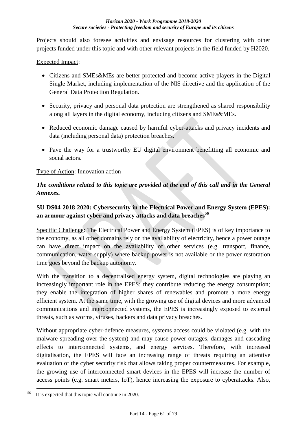Projects should also foresee activities and envisage resources for clustering with other projects funded under this topic and with other relevant projects in the field funded by H2020.

### Expected Impact:

- Citizens and SMEs&MEs are better protected and become active players in the Digital Single Market, including implementation of the NIS directive and the application of the General Data Protection Regulation.
- Security, privacy and personal data protection are strengthened as shared responsibility along all layers in the digital economy, including citizens and SMEs&MEs.
- Reduced economic damage caused by harmful cyber-attacks and privacy incidents and data (including personal data) protection breaches.
- Pave the way for a trustworthy EU digital environment benefitting all economic and social actors.

### Type of Action: Innovation action

## *The conditions related to this topic are provided at the end of this call and in the General Annexes.*

## **SU-DS04-2018-2020: Cybersecurity in the Electrical Power and Energy System (EPES): an armour against cyber and privacy attacks and data breaches<sup>56</sup>**

Specific Challenge: The Electrical Power and Energy System (EPES) is of key importance to the economy, as all other domains rely on the availability of electricity, hence a power outage can have direct impact on the availability of other services (e.g. transport, finance, communication, water supply) where backup power is not available or the power restoration time goes beyond the backup autonomy.

With the transition to a decentralised energy system, digital technologies are playing an increasingly important role in the EPES: they contribute reducing the energy consumption; they enable the integration of higher shares of renewables and promote a more energy efficient system. At the same time, with the growing use of digital devices and more advanced communications and interconnected systems, the EPES is increasingly exposed to external threats, such as worms, viruses, hackers and data privacy breaches.

Without appropriate cyber-defence measures, systems access could be violated (e.g. with the malware spreading over the system) and may cause power outages, damages and cascading effects to interconnected systems, and energy services. Therefore, with increased digitalisation, the EPES will face an increasing range of threats requiring an attentive evaluation of the cyber security risk that allows taking proper countermeasures. For example, the growing use of interconnected smart devices in the EPES will increase the number of access points (e.g. smart meters, IoT), hence increasing the exposure to cyberattacks. Also,

<sup>&</sup>lt;u>.</u> It is expected that this topic will continue in 2020.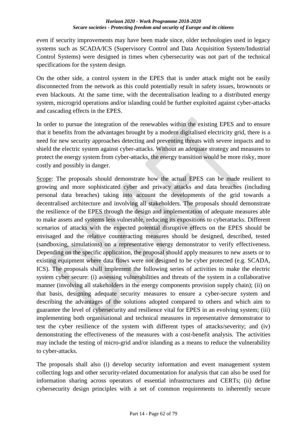even if security improvements may have been made since, older technologies used in legacy systems such as SCADA/ICS (Supervisory Control and Data Acquisition System/Industrial Control Systems) were designed in times when cybersecurity was not part of the technical specifications for the system design.

On the other side, a control system in the EPES that is under attack might not be easily disconnected from the network as this could potentially result in safety issues, brownouts or even blackouts. At the same time, with the decentralisation leading to a distributed energy system, microgrid operations and/or islanding could be further exploited against cyber-attacks and cascading effects in the EPES.

In order to pursue the integration of the renewables within the existing EPES and to ensure that it benefits from the advantages brought by a modern digitalised electricity grid, there is a need for new security approaches detecting and preventing threats with severe impacts and to shield the electric system against cyber-attacks. Without an adequate strategy and measures to protect the energy system from cyber-attacks, the energy transition would be more risky, more costly and possibly in danger.

Scope: The proposals should demonstrate how the actual EPES can be made resilient to growing and more sophisticated cyber and privacy attacks and data breaches (including personal data breaches) taking into account the developments of the grid towards a decentralised architecture and involving all stakeholders. The proposals should demonstrate the resilience of the EPES through the design and implementation of adequate measures able to make assets and systems less vulnerable, reducing its expositions to cyberattacks. Different scenarios of attacks with the expected potential disruptive effects on the EPES should be envisaged and the relative counteracting measures should be designed, described, tested (sandboxing, simulations) on a representative energy demonstrator to verify effectiveness. Depending on the specific application, the proposal should apply measures to new assets or to existing equipment where data flows were not designed to be cyber protected (e.g. SCADA, ICS). The proposals shall implement the following series of activities to make the electric system cyber secure: (i) assessing vulnerabilities and threats of the system in a collaborative manner (involving all stakeholders in the energy components provision supply chain); (ii) on that basis, designing adequate security measures to ensure a cyber-secure system and describing the advantages of the solutions adopted compared to others and which aim to guarantee the level of cybersecurity and resilience vital for EPES in an evolving system; (iii) implementing both organisational and technical measures in representative demonstrator to test the cyber resilience of the system with different types of attacks/severity; and (iv) demonstrating the effectiveness of the measures with a cost-benefit analysis. The activities may include the testing of micro-grid and/or islanding as a means to reduce the vulnerability to cyber-attacks.

The proposals shall also (i) develop security information and event management system collecting logs and other security-related documentation for analysis that can also be used for information sharing across operators of essential infrastructures and CERTs; (ii) define cybersecurity design principles with a set of common requirements to inherently secure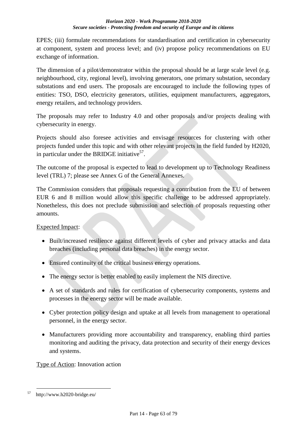EPES; (iii) formulate recommendations for standardisation and certification in cybersecurity at component, system and process level; and (iv) propose policy recommendations on EU exchange of information.

The dimension of a pilot/demonstrator within the proposal should be at large scale level (e.g. neighbourhood, city, regional level), involving generators, one primary substation, secondary substations and end users. The proposals are encouraged to include the following types of entities: TSO, DSO, electricity generators, utilities, equipment manufacturers, aggregators, energy retailers, and technology providers.

The proposals may refer to Industry 4.0 and other proposals and/or projects dealing with cybersecurity in energy.

Projects should also foresee activities and envisage resources for clustering with other projects funded under this topic and with other relevant projects in the field funded by H2020, in particular under the BRIDGE initiative<sup>57</sup>.

The outcome of the proposal is expected to lead to development up to Technology Readiness level (TRL) 7; please see Annex G of the General Annexes.

The Commission considers that proposals requesting a contribution from the EU of between EUR 6 and 8 million would allow this specific challenge to be addressed appropriately. Nonetheless, this does not preclude submission and selection of proposals requesting other amounts.

Expected Impact:

- Built/increased resilience against different levels of cyber and privacy attacks and data breaches (including personal data breaches) in the energy sector.
- Ensured continuity of the critical business energy operations.
- The energy sector is better enabled to easily implement the NIS directive.
- A set of standards and rules for certification of cybersecurity components, systems and processes in the energy sector will be made available.
- Cyber protection policy design and uptake at all levels from management to operational personnel, in the energy sector.
- Manufacturers providing more accountability and transparency, enabling third parties monitoring and auditing the privacy, data protection and security of their energy devices and systems.

Type of Action: Innovation action

<sup>&</sup>lt;u>.</u>  $57$  http://www.h2020-bridge.eu/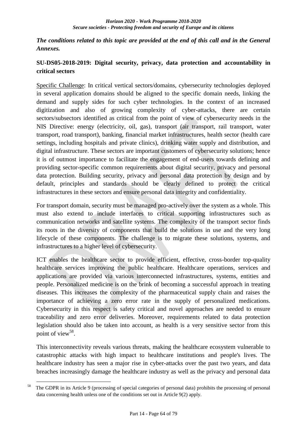*The conditions related to this topic are provided at the end of this call and in the General Annexes.*

## **SU-DS05-2018-2019: Digital security, privacy, data protection and accountability in critical sectors**

Specific Challenge: In critical vertical sectors/domains, cybersecurity technologies deployed in several application domains should be aligned to the specific domain needs, linking the demand and supply sides for such cyber technologies. In the context of an increased digitization and also of growing complexity of cyber-attacks, there are certain sectors/subsectors identified as critical from the point of view of cybersecurity needs in the NIS Directive: energy (electricity, oil, gas), transport (air transport, rail transport, water transport, road transport), banking, financial market infrastructures, health sector (health care settings, including hospitals and private clinics), drinking water supply and distribution, and digital infrastructure. These sectors are important customers of cybersecurity solutions; hence it is of outmost importance to facilitate the engagement of end-users towards defining and providing sector-specific common requirements about digital security, privacy and personal data protection. Building security, privacy and personal data protection by design and by default, principles and standards should be clearly defined to protect the critical infrastructures in these sectors and ensure personal data integrity and confidentiality.

For transport domain, security must be managed pro-actively over the system as a whole. This must also extend to include interfaces to critical supporting infrastructures such as communication networks and satellite systems. The complexity of the transport sector finds its roots in the diversity of components that build the solutions in use and the very long lifecycle of these components. The challenge is to migrate these solutions, systems, and infrastructures to a higher level of cybersecurity.

ICT enables the healthcare sector to provide efficient, effective, cross-border top-quality healthcare services improving the public healthcare. Healthcare operations, services and applications are provided via various interconnected infrastructures, systems, entities and people. Personalized medicine is on the brink of becoming a successful approach in treating diseases. This increases the complexity of the pharmaceutical supply chain and raises the importance of achieving a zero error rate in the supply of personalized medications. Cybersecurity in this respect is safety critical and novel approaches are needed to ensure traceability and zero error deliveries. Moreover, requirements related to data protection legislation should also be taken into account, as health is a very sensitive sector from this point of view<sup>58</sup>.

This interconnectivity reveals various threats, making the healthcare ecosystem vulnerable to catastrophic attacks with high impact to healthcare institutions and people's lives. The healthcare industry has seen a major rise in cyber-attacks over the past two years, and data breaches increasingly damage the healthcare industry as well as the privacy and personal data

<sup>1</sup> <sup>58</sup> The GDPR in its Article 9 (processing of special categories of personal data) prohibits the processing of personal data concerning health unless one of the conditions set out in Article 9(2) apply.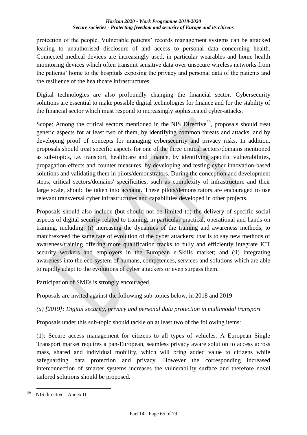protection of the people. Vulnerable patients' records management systems can be attacked leading to unauthorised disclosure of and access to personal data concerning health. Connected medical devices are increasingly used, in particular wearables and home health monitoring devices which often transmit sensitive data over unsecure wireless networks from the patients' home to the hospitals exposing the privacy and personal data of the patients and the resilience of the healthcare infrastructures.

Digital technologies are also profoundly changing the financial sector. Cybersecurity solutions are essential to make possible digital technologies for finance and for the stability of the financial sector which must respond to increasingly sophisticated cyber-attacks.

Scope: Among the critical sectors mentioned in the NIS Directive<sup>59</sup>, proposals should treat generic aspects for at least two of them, by identifying common threats and attacks, and by developing proof of concepts for managing cybersecurity and privacy risks. In addition, proposals should treat specific aspects for one of the three critical sectors/domains mentioned as sub-topics, i.e. transport, healthcare and finance, by identifying specific vulnerabilities, propagation effects and counter measures, by developing and testing cyber innovation-based solutions and validating them in pilots/demonstrators. During the conception and development steps, critical sectors/domains' specificities, such as complexity of infrastructure and their large scale, should be taken into account. These pilots/demonstrators are encouraged to use relevant transversal cyber infrastructures and capabilities developed in other projects.

Proposals should also include (but should not be limited to) the delivery of specific social aspects of digital security related to training, in particular practical, operational and hands-on training, including: (i) increasing the dynamics of the training and awareness methods, to match/exceed the same rate of evolution of the cyber attackers; that is to say new methods of awareness/training offering more qualification tracks to fully and efficiently integrate ICT security workers and employers in the European e-Skills market; and (ii) integrating awareness into the eco-system of humans, competences, services and solutions which are able to rapidly adapt to the evolutions of cyber attackers or even surpass them.

Participation of SMEs is strongly encouraged.

Proposals are invited against the following sub-topics below, in 2018 and 2019

*(a) [2019]: Digital security, privacy and personal data protection in multimodal transport*

Proposals under this sub-topic should tackle on at least two of the following items:

(1): Secure access management for citizens to all types of vehicles. A European Single Transport market requires a pan-European, seamless privacy aware solution to access across mass, shared and individual mobility, which will bring added value to citizens while safeguarding data protection and privacy. However the corresponding increased interconnection of smarter systems increases the vulnerability surface and therefore novel tailored solutions should be proposed.

<sup>&</sup>lt;u>.</u>  $^{59}$  NIS directive - Annex II.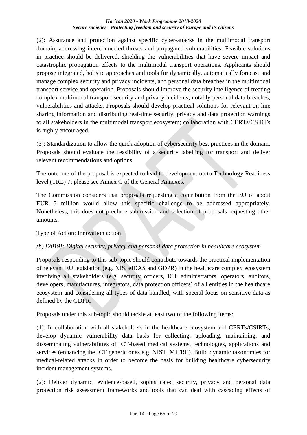(2): Assurance and protection against specific cyber-attacks in the multimodal transport domain, addressing interconnected threats and propagated vulnerabilities. Feasible solutions in practice should be delivered, shielding the vulnerabilities that have severe impact and catastrophic propagation effects to the multimodal transport operations. Applicants should propose integrated, holistic approaches and tools for dynamically, automatically forecast and manage complex security and privacy incidents, and personal data breaches in the multimodal transport service and operation. Proposals should improve the security intelligence of treating complex multimodal transport security and privacy incidents, notably personal data breaches, vulnerabilities and attacks. Proposals should develop practical solutions for relevant on-line sharing information and distributing real-time security, privacy and data protection warnings to all stakeholders in the multimodal transport ecosystem; collaboration with CERTs/CSIRTs is highly encouraged.

(3): Standardization to allow the quick adoption of cybersecurity best practices in the domain. Proposals should evaluate the feasibility of a security labelling for transport and deliver relevant recommendations and options.

The outcome of the proposal is expected to lead to development up to Technology Readiness level (TRL) 7; please see Annex G of the General Annexes.

The Commission considers that proposals requesting a contribution from the EU of about EUR 5 million would allow this specific challenge to be addressed appropriately. Nonetheless, this does not preclude submission and selection of proposals requesting other amounts.

### Type of Action: Innovation action

### *(b) [2019]: Digital security, privacy and personal data protection in healthcare ecosystem*

Proposals responding to this sub-topic should contribute towards the practical implementation of relevant EU legislation (e.g. NIS, eIDAS and GDPR) in the healthcare complex ecosystem involving all stakeholders (e.g. security officers, ICT administrators, operators, auditors, developers, manufactures, integrators, data protection officers) of all entities in the healthcare ecosystem and considering all types of data handled, with special focus on sensitive data as defined by the GDPR.

Proposals under this sub-topic should tackle at least two of the following items:

(1): In collaboration with all stakeholders in the healthcare ecosystem and CERTs/CSIRTs, develop dynamic vulnerability data basis for collecting, uploading, maintaining, and disseminating vulnerabilities of ICT-based medical systems, technologies, applications and services (enhancing the ICT generic ones e.g. NIST, MITRE). Build dynamic taxonomies for medical-related attacks in order to become the basis for building healthcare cybersecurity incident management systems.

(2): Deliver dynamic, evidence-based, sophisticated security, privacy and personal data protection risk assessment frameworks and tools that can deal with cascading effects of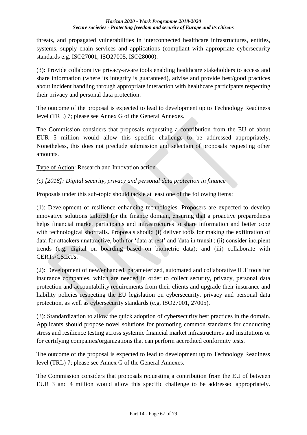threats, and propagated vulnerabilities in interconnected healthcare infrastructures, entities, systems, supply chain services and applications (compliant with appropriate cybersecurity standards e.g. ISO27001, ISO27005, ISO28000).

(3): Provide collaborative privacy-aware tools enabling healthcare stakeholders to access and share information (where its integrity is guaranteed), advise and provide best/good practices about incident handling through appropriate interaction with healthcare participants respecting their privacy and personal data protection.

The outcome of the proposal is expected to lead to development up to Technology Readiness level (TRL) 7; please see Annex G of the General Annexes.

The Commission considers that proposals requesting a contribution from the EU of about EUR 5 million would allow this specific challenge to be addressed appropriately. Nonetheless, this does not preclude submission and selection of proposals requesting other amounts.

Type of Action: Research and Innovation action

### *(c) [2018]: Digital security, privacy and personal data protection in finance*

Proposals under this sub-topic should tackle at least one of the following items:

(1): Development of resilience enhancing technologies. Proposers are expected to develop innovative solutions tailored for the finance domain, ensuring that a proactive preparedness helps financial market participants and infrastructures to share information and better cope with technological shortfalls. Proposals should (i) deliver tools for making the exfiltration of data for attackers unattractive, both for 'data at rest' and 'data in transit'; (ii) consider incipient trends (e.g. digital on boarding based on biometric data); and (iii) collaborate with CERTs/CSIRTs.

(2): Development of new/enhanced, parameterized, automated and collaborative ICT tools for insurance companies, which are needed in order to collect security, privacy, personal data protection and accountability requirements from their clients and upgrade their insurance and liability policies respecting the EU legislation on cybersecurity, privacy and personal data protection, as well as cybersecurity standards (e.g. ISO27001, 27005).

(3): Standardization to allow the quick adoption of cybersecurity best practices in the domain. Applicants should propose novel solutions for promoting common standards for conducting stress and resilience testing across systemic financial market infrastructures and institutions or for certifying companies/organizations that can perform accredited conformity tests.

The outcome of the proposal is expected to lead to development up to Technology Readiness level (TRL) 7; please see Annex G of the General Annexes.

The Commission considers that proposals requesting a contribution from the EU of between EUR 3 and 4 million would allow this specific challenge to be addressed appropriately.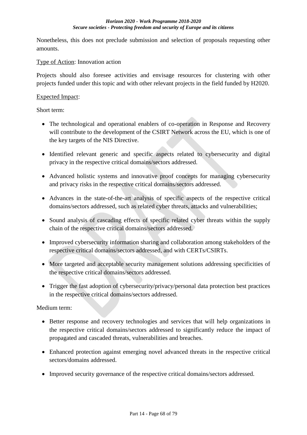Nonetheless, this does not preclude submission and selection of proposals requesting other amounts.

### Type of Action: Innovation action

Projects should also foresee activities and envisage resources for clustering with other projects funded under this topic and with other relevant projects in the field funded by H2020.

#### Expected Impact:

Short term:

- The technological and operational enablers of co-operation in Response and Recovery will contribute to the development of the CSIRT Network across the EU, which is one of the key targets of the NIS Directive.
- Identified relevant generic and specific aspects related to cybersecurity and digital privacy in the respective critical domains/sectors addressed.
- Advanced holistic systems and innovative proof concepts for managing cybersecurity and privacy risks in the respective critical domains/sectors addressed.
- Advances in the state-of-the-art analysis of specific aspects of the respective critical domains/sectors addressed, such as related cyber threats, attacks and vulnerabilities;
- Sound analysis of cascading effects of specific related cyber threats within the supply chain of the respective critical domains/sectors addressed.
- Improved cybersecurity information sharing and collaboration among stakeholders of the respective critical domains/sectors addressed, and with CERTs/CSIRTs.
- More targeted and acceptable security management solutions addressing specificities of the respective critical domains/sectors addressed.
- Trigger the fast adoption of cybersecurity/privacy/personal data protection best practices in the respective critical domains/sectors addressed.

Medium term:

- Better response and recovery technologies and services that will help organizations in the respective critical domains/sectors addressed to significantly reduce the impact of propagated and cascaded threats, vulnerabilities and breaches.
- Enhanced protection against emerging novel advanced threats in the respective critical sectors/domains addressed.
- Improved security governance of the respective critical domains/sectors addressed.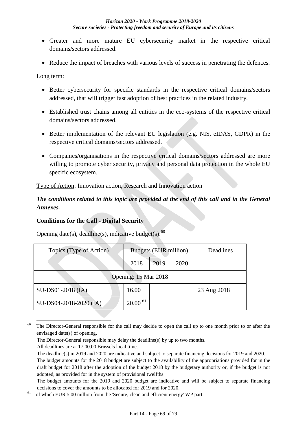- Greater and more mature EU cybersecurity market in the respective critical domains/sectors addressed.
- Reduce the impact of breaches with various levels of success in penetrating the defences.

Long term:

- Better cybersecurity for specific standards in the respective critical domains/sectors addressed, that will trigger fast adoption of best practices in the related industry.
- Established trust chains among all entities in the eco-systems of the respective critical domains/sectors addressed.
- Better implementation of the relevant EU legislation (e.g. NIS, eIDAS, GDPR) in the respective critical domains/sectors addressed.
- Companies/organisations in the respective critical domains/sectors addressed are more willing to promote cyber security, privacy and personal data protection in the whole EU specific ecosystem.

Type of Action: Innovation action, Research and Innovation action

## *The conditions related to this topic are provided at the end of this call and in the General Annexes.*

### **Conditions for the Call - Digital Security**

Opening date(s), deadline(s), indicative budget(s): $^{60}$ 

| Topics (Type of Action) | Budgets (EUR million) |      |      | Deadlines   |  |
|-------------------------|-----------------------|------|------|-------------|--|
|                         | 2018                  | 2019 | 2020 |             |  |
| Opening: 15 Mar 2018    |                       |      |      |             |  |
| SU-DS01-2018 (IA)       | 16.00                 |      |      | 23 Aug 2018 |  |
| SU-DS04-2018-2020 (IA)  | $20.00\,61$           |      |      |             |  |

The Director-General responsible for the call may decide to open the call up to one month prior to or after the envisaged date(s) of opening.

<u>.</u>

The Director-General responsible may delay the deadline(s) by up to two months.

All deadlines are at 17.00.00 Brussels local time.

The deadline(s) in 2019 and 2020 are indicative and subject to separate financing decisions for 2019 and 2020. The budget amounts for the 2018 budget are subject to the availability of the appropriations provided for in the draft budget for 2018 after the adoption of the budget 2018 by the budgetary authority or, if the budget is not adopted, as provided for in the system of provisional twelfths.

The budget amounts for the 2019 and 2020 budget are indicative and will be subject to separate financing decisions to cover the amounts to be allocated for 2019 and for 2020.

<sup>61</sup>of which EUR 5.00 million from the 'Secure, clean and efficient energy' WP part.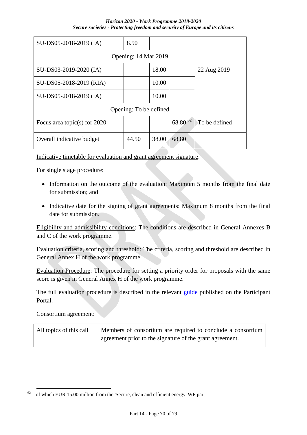| SU-DS05-2018-2019 (IA)         | 8.50  |       |            |               |  |
|--------------------------------|-------|-------|------------|---------------|--|
| Opening: 14 Mar 2019           |       |       |            |               |  |
| SU-DS03-2019-2020 (IA)         |       | 18.00 |            | 22 Aug 2019   |  |
| SU-DS05-2018-2019 (RIA)        |       | 10.00 |            |               |  |
| SU-DS05-2018-2019 (IA)         |       | 10.00 |            |               |  |
| Opening: To be defined         |       |       |            |               |  |
| Focus area topic(s) for $2020$ |       |       | 68.80 $62$ | To be defined |  |
| Overall indicative budget      | 44.50 | 38.00 | 68.80      |               |  |

Indicative timetable for evaluation and grant agreement signature:

For single stage procedure:

- Information on the outcome of the evaluation: Maximum 5 months from the final date for submission; and
- Indicative date for the signing of grant agreements: Maximum 8 months from the final date for submission.

Eligibility and admissibility conditions: The conditions are described in General Annexes B and C of the work programme.

Evaluation criteria, scoring and threshold: The criteria, scoring and threshold are described in General Annex H of the work programme.

Evaluation Procedure: The procedure for setting a priority order for proposals with the same score is given in General Annex H of the work programme.

The full evaluation procedure is described in the relevant [guide](http://ec.europa.eu/research/participants/docs/h2020-funding-guide/grants/applying-for-funding/submit-proposals_en.htm) published on the Participant Portal.

Consortium agreement:

<u>.</u>

| All topics of this call | Members of consortium are required to conclude a consortium |
|-------------------------|-------------------------------------------------------------|
|                         | agreement prior to the signature of the grant agreement.    |

 $62$  of which EUR 15.00 million from the 'Secure, clean and efficient energy' WP part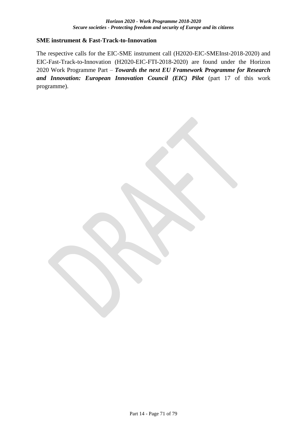#### **SME instrument & Fast-Track-to-Innovation**

The respective calls for the EIC-SME instrument call (H2020-EIC-SMEInst-2018-2020) and EIC-Fast-Track-to-Innovation (H2020-EIC-FTI-2018-2020) are found under the Horizon 2020 Work Programme Part – *Towards the next EU Framework Programme for Research and Innovation: European Innovation Council (EIC) Pilot* (part 17 of this work programme).

Part 14 - Page 71 of 79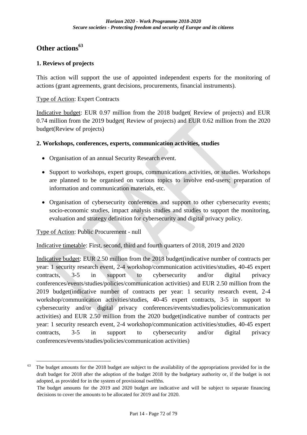# **Other actions<sup>63</sup>**

### **1. Reviews of projects**

This action will support the use of appointed independent experts for the monitoring of actions (grant agreements, grant decisions, procurements, financial instruments).

#### Type of Action: Expert Contracts

Indicative budget: EUR 0.97 million from the 2018 budget( Review of projects) and EUR 0.74 million from the 2019 budget( Review of projects) and EUR 0.62 million from the 2020 budget(Review of projects)

#### **2. Workshops, conferences, experts, communication activities, studies**

- Organisation of an annual Security Research event.
- Support to workshops, expert groups, communications activities, or studies. Workshops are planned to be organised on various topics to involve end-users; preparation of information and communication materials, etc.
- Organisation of cybersecurity conferences and support to other cybersecurity events; socio-economic studies, impact analysis studies and studies to support the monitoring, evaluation and strategy definition for cybersecurity and digital privacy policy.

### Type of Action: Public Procurement - null

1

Indicative timetable: First, second, third and fourth quarters of 2018, 2019 and 2020

Indicative budget: EUR 2.50 million from the 2018 budget(indicative number of contracts per year: 1 security research event, 2-4 workshop/communication activities/studies, 40-45 expert contracts, 3-5 in support to cybersecurity and/or digital privacy conferences/events/studies/policies/communication activities) and EUR 2.50 million from the 2019 budget(indicative number of contracts per year: 1 security research event, 2-4 workshop/communication activities/studies, 40-45 expert contracts, 3-5 in support to cybersecurity and/or digital privacy conferences/events/studies/policies/communication activities) and EUR 2.50 million from the 2020 budget(indicative number of contracts per year: 1 security research event, 2-4 workshop/communication activities/studies, 40-45 expert contracts, 3-5 in support to cybersecurity and/or digital privacy conferences/events/studies/policies/communication activities)

 $63$  The budget amounts for the 2018 budget are subject to the availability of the appropriations provided for in the draft budget for 2018 after the adoption of the budget 2018 by the budgetary authority or, if the budget is not adopted, as provided for in the system of provisional twelfths.

The budget amounts for the 2019 and 2020 budget are indicative and will be subject to separate financing decisions to cover the amounts to be allocated for 2019 and for 2020.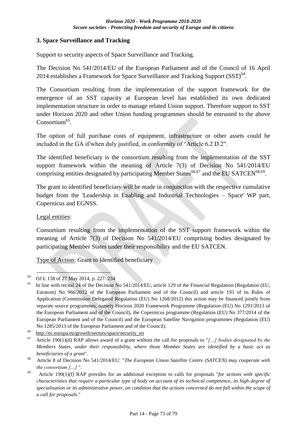#### **3. Space Surveillance and Tracking**

Support to security aspects of Space Surveillance and Tracking.

The Decision No 541/2014/EU of the European Parliament and of the Council of 16 April 2014 establishes a Framework for Space Surveillance and Tracking Support  $(SST)^{64}$ .

The Consortium resulting from the implementation of the support framework for the emergence of an SST capacity at European level has established its own dedicated implementation structure in order to manage related Union support. Therefore support to SST under Horizon 2020 and other Union funding programmes should be entrusted to the above Consortium<sup>65</sup>.

The option of full purchase costs of equipment, infrastructure or other assets could be included in the GA if/when duly justified, in conformity of "Article 6.2 D.2".

The identified beneficiary is the consortium resulting from the implementation of the SST support framework within the meaning of Article 7(3) of Decision No 541/2014/EU comprising entities designated by participating Member States<sup>66,67</sup> and the EU SATCEN<sup>68,69</sup>.

The grant to identified beneficiary will be made in conjunction with the respective cumulative budget from the 'Leadership in Enabling and Industrial Technologies – Space' WP part, Copernicus and EGNSS.

#### Legal entities:

Consortium resulting from the implementation of the SST support framework within the meaning of Article 7(3) of Decision No 541/2014/EU comprising bodies designated by participating Member States under their responsibility and the EU SATCEN.

Type of Action: Grant to Identified beneficiary

<sup>1</sup> <sup>64</sup> OJ L 158 of 27 May 2014, p. 227–234

 $^{65}$  In line with recital 24 of the Decision No 541/2014/EU, article 129 of the Financial Regulation (Regulation (EU, Euratom) No 966/2012 of the European Parliament and of the Council) and article 193 of its Rules of Application (Commission Delegated Regulation (EU) No 1268/2012) this action may be financed jointly from separate source programmes, namely Horizon 2020 Framework Programme (Regulation (EU) No 1291/2013 of the European Parliament and of the Council), the Copernicus programme (Regulation (EU) No 377/2014 of the European Parliament and of the Council) and the European Satellite Navigation programmes (Regulation (EU) No 1285/2013 of the European Parliament and of the Council).

 $66$  http://ec.europa.eu/growth/sectors/space/security en

 $67$  Article 190(1)(d) RAP allows award of a grant without the call for proposals to "*[...] bodies designated by the Members States, under their responsibility, where those Member States are identified by a basic act as beneficiaries of a grant*".

<sup>&</sup>lt;sup>68</sup> Article 8 of Decision No 541/2014/EU: "*The European Union Satellite Centre (SATCEN) may cooperate with the consortium […]* ".

<sup>69</sup>Article 190(1)(f) RAP provides for an additional exception to calls for proposals "*for actions with specific characteristics that require a particular type of body on account of its technical competence, its high degree of specialisation or its administrative power, on condition that the actions concerned do not fall within the scope of a call for proposals*."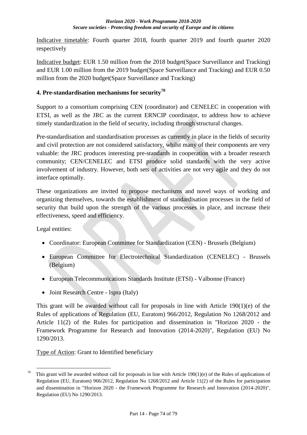Indicative timetable: Fourth quarter 2018, fourth quarter 2019 and fourth quarter 2020 respectively

Indicative budget: EUR 1.50 million from the 2018 budget(Space Surveillance and Tracking) and EUR 1.00 million from the 2019 budget(Space Surveillance and Tracking) and EUR 0.50 million from the 2020 budget(Space Surveillance and Tracking)

# **4. Pre-standardisation mechanisms for security<sup>70</sup>**

Support to a consortium comprising CEN (coordinator) and CENELEC in cooperation with ETSI, as well as the JRC as the current ERNCIP coordinator, to address how to achieve timely standardization in the field of security, including through structural changes.

Pre-standardisation and standardisation processes as currently in place in the fields of security and civil protection are not considered satisfactory, whilst many of their components are very valuable: the JRC produces interesting pre-standards in cooperation with a broader research community; CEN/CENELEC and ETSI produce solid standards with the very active involvement of industry. However, both sets of activities are not very agile and they do not interface optimally.

These organizations are invited to propose mechanisms and novel ways of working and organizing themselves, towards the establishment of standardisation processes in the field of security that build upon the strength of the various processes in place, and increase their effectiveness, speed and efficiency.

Legal entities:

- Coordinator: European Committee for Standardization (CEN) Brussels (Belgium)
- European Committee for Electrotechnical Standardization (CENELEC) Brussels (Belgium)
- European Telecommunications Standards Institute (ETSI) Valbonne (France)
- Joint Research Centre Ispra (Italy)

This grant will be awarded without call for proposals in line with Article 190(1)(e) of the Rules of applications of Regulation (EU, Euratom) 966/2012, Regulation No 1268/2012 and Article 11(2) of the Rules for participation and dissemination in "Horizon 2020 - the Framework Programme for Research and Innovation (2014-2020)", Regulation (EU) No 1290/2013.

Type of Action: Grant to Identified beneficiary

<sup>1</sup> <sup>70</sup> This grant will be awarded without call for proposals in line with Article 190(1)(e) of the Rules of applications of Regulation (EU, Euratom) 966/2012, Regulation No 1268/2012 and Article 11(2) of the Rules for participation and dissemination in "Horizon 2020 - the Framework Programme for Research and Innovation (2014-2020)", Regulation (EU) No 1290/2013.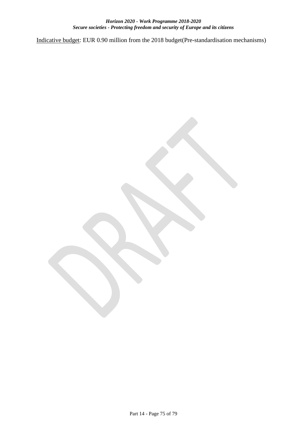Indicative budget: EUR 0.90 million from the 2018 budget(Pre-standardisation mechanisms)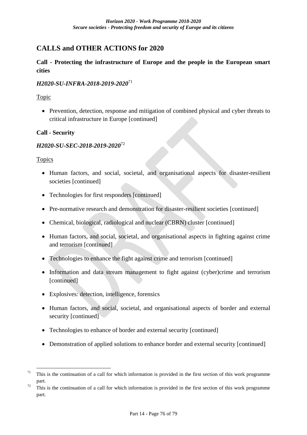# **CALLS and OTHER ACTIONS for 2020**

# **Call - Protecting the infrastructure of Europe and the people in the European smart cities**

# *H2020-SU-INFRA-2018-2019-2020*<sup>71</sup>

# Topic

• Prevention, detection, response and mitigation of combined physical and cyber threats to critical infrastructure in Europe [continued]

# **Call - Security**

# *H2020-SU-SEC-2018-2019-2020*<sup>72</sup>

#### Topics

1

- Human factors, and social, societal, and organisational aspects for disaster-resilient societies [continued]
- Technologies for first responders [continued]
- Pre-normative research and demonstration for disaster-resilient societies [continued]
- Chemical, biological, radiological and nuclear (CBRN) cluster [continued]
- Human factors, and social, societal, and organisational aspects in fighting against crime and terrorism [continued]
- Technologies to enhance the fight against crime and terrorism [continued]
- Information and data stream management to fight against (cyber)crime and terrorism [continued]
- Explosives: detection, intelligence, forensics
- Human factors, and social, societal, and organisational aspects of border and external security [continued]
- Technologies to enhance of border and external security [continued]
- Demonstration of applied solutions to enhance border and external security [continued]

<sup>&</sup>lt;sup>71</sup> This is the continuation of a call for which information is provided in the first section of this work programme part.

 $\frac{72}{10}$ . This is the continuation of a call for which information is provided in the first section of this work programme part.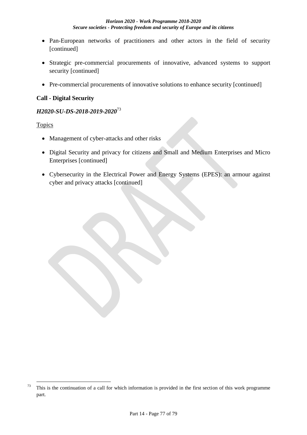- Pan-European networks of practitioners and other actors in the field of security [continued]
- Strategic pre-commercial procurements of innovative, advanced systems to support security [continued]
- Pre-commercial procurements of innovative solutions to enhance security [continued]

#### **Call - Digital Security**

#### *H2020-SU-DS-2018-2019-2020*<sup>73</sup>

#### Topics

1

- Management of cyber-attacks and other risks
- Digital Security and privacy for citizens and Small and Medium Enterprises and Micro Enterprises [continued]
- Cybersecurity in the Electrical Power and Energy Systems (EPES): an armour against cyber and privacy attacks [continued]

 $73$  This is the continuation of a call for which information is provided in the first section of this work programme part.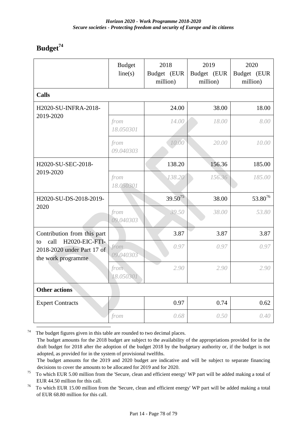# **Budget<sup>74</sup>**

|                                                                                                                 | <b>Budget</b><br>line(s) | 2018<br>Budget (EUR<br>million) | 2019<br>Budget (EUR<br>million) | 2020<br>Budget (EUR<br>million) |  |  |
|-----------------------------------------------------------------------------------------------------------------|--------------------------|---------------------------------|---------------------------------|---------------------------------|--|--|
| <b>Calls</b>                                                                                                    |                          |                                 |                                 |                                 |  |  |
| H2020-SU-INFRA-2018-<br>2019-2020                                                                               |                          | 24.00                           | 38.00                           | 18.00                           |  |  |
|                                                                                                                 | from<br>18.050301        | 14.00                           | 18.00                           | 8.00                            |  |  |
|                                                                                                                 | from<br>09.040303        | 10.00                           | 20.00                           | 10.00                           |  |  |
| H2020-SU-SEC-2018-<br>2019-2020                                                                                 |                          | 138.20                          | 156.36                          | 185.00                          |  |  |
|                                                                                                                 | from<br>18.050301        | 138.20                          | 156.36                          | 185.00                          |  |  |
| H2020-SU-DS-2018-2019-<br>2020                                                                                  |                          | $39.50^{75}$                    | 38.00                           | $53.80^{76}$                    |  |  |
|                                                                                                                 | from<br>09.040303        | 39.50                           | 38.00                           | 53.80                           |  |  |
| Contribution from this part<br>H2020-EIC-FTI-<br>call<br>to<br>2018-2020 under Part 17 of<br>the work programme |                          | 3.87                            | 3.87                            | 3.87                            |  |  |
|                                                                                                                 | from<br>09.040303        | 0.97                            | 0.97                            | 0.97                            |  |  |
|                                                                                                                 | from<br>18.050301        | 2.90                            | 2.90                            | 2.90                            |  |  |
| <b>Other actions</b>                                                                                            |                          |                                 |                                 |                                 |  |  |
| <b>Expert Contracts</b>                                                                                         |                          | 0.97                            | 0.74                            | 0.62                            |  |  |
|                                                                                                                 | from                     | 0.68                            | 0.50                            | 0.40                            |  |  |

1  $74$  The budget figures given in this table are rounded to two decimal places. The budget amounts for the 2018 budget are subject to the availability of the appropriations provided for in the draft budget for 2018 after the adoption of the budget 2018 by the budgetary authority or, if the budget is not adopted, as provided for in the system of provisional twelfths. The budget amounts for the 2019 and 2020 budget are indicative and will be subject to separate financing

decisions to cover the amounts to be allocated for 2019 and for 2020.

 $75$  To which EUR 5.00 million from the 'Secure, clean and efficient energy' WP part will be added making a total of EUR 44.50 million for this call.

<sup>76</sup> To which EUR 15.00 million from the 'Secure, clean and efficient energy' WP part will be added making a total of EUR 68.80 million for this call.